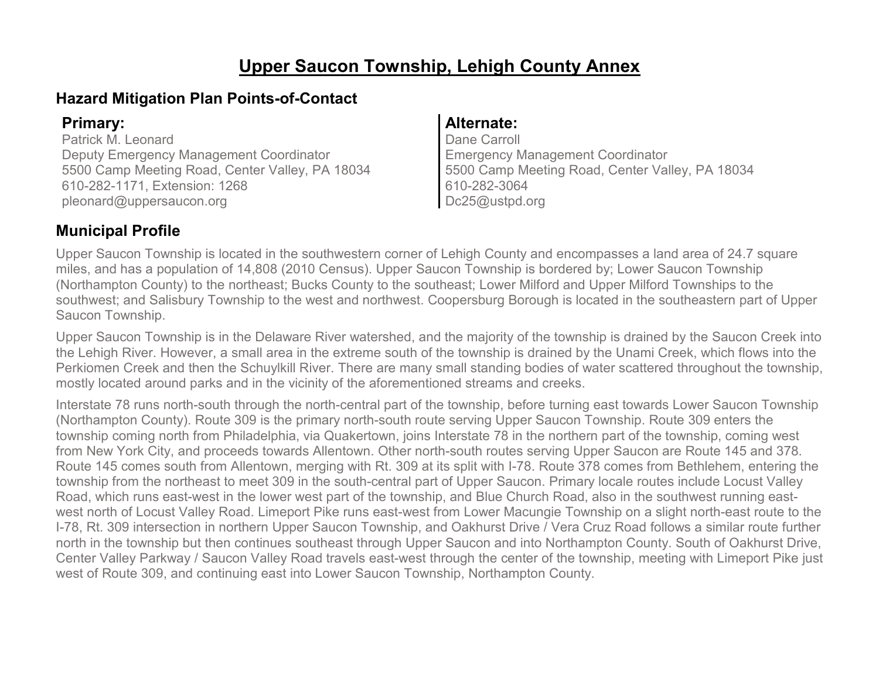# **Upper Saucon Township, Lehigh County Annex**

### **Hazard Mitigation Plan Points-of-Contact**

Patrick M. Leonard Deputy Emergency Management Coordinator 5500 Camp Meeting Road, Center Valley, PA 18034 610-282-1171, Extension: 1268 pleonard@uppersaucon.org

#### **Primary: Alternate:**

Dane Carroll Emergency Management Coordinator 5500 Camp Meeting Road, Center Valley, PA 18034 610-282-3064 Dc25@ustpd.org

### **Municipal Profile**

Upper Saucon Township is located in the southwestern corner of Lehigh County and encompasses a land area of 24.7 square miles, and has a population of 14,808 (2010 Census). Upper Saucon Township is bordered by; Lower Saucon Township (Northampton County) to the northeast; Bucks County to the southeast; Lower Milford and Upper Milford Townships to the southwest; and Salisbury Township to the west and northwest. Coopersburg Borough is located in the southeastern part of Upper Saucon Township.

Upper Saucon Township is in the Delaware River watershed, and the majority of the township is drained by the Saucon Creek into the Lehigh River. However, a small area in the extreme south of the township is drained by the Unami Creek, which flows into the Perkiomen Creek and then the Schuylkill River. There are many small standing bodies of water scattered throughout the township, mostly located around parks and in the vicinity of the aforementioned streams and creeks.

Interstate 78 runs north-south through the north-central part of the township, before turning east towards Lower Saucon Township (Northampton County). Route 309 is the primary north-south route serving Upper Saucon Township. Route 309 enters the township coming north from Philadelphia, via Quakertown, joins Interstate 78 in the northern part of the township, coming west from New York City, and proceeds towards Allentown. Other north-south routes serving Upper Saucon are Route 145 and 378. Route 145 comes south from Allentown, merging with Rt. 309 at its split with I-78. Route 378 comes from Bethlehem, entering the township from the northeast to meet 309 in the south-central part of Upper Saucon. Primary locale routes include Locust Valley Road, which runs east-west in the lower west part of the township, and Blue Church Road, also in the southwest running eastwest north of Locust Valley Road. Limeport Pike runs east-west from Lower Macungie Township on a slight north-east route to the I-78, Rt. 309 intersection in northern Upper Saucon Township, and Oakhurst Drive / Vera Cruz Road follows a similar route further north in the township but then continues southeast through Upper Saucon and into Northampton County. South of Oakhurst Drive, Center Valley Parkway / Saucon Valley Road travels east-west through the center of the township, meeting with Limeport Pike just west of Route 309, and continuing east into Lower Saucon Township, Northampton County.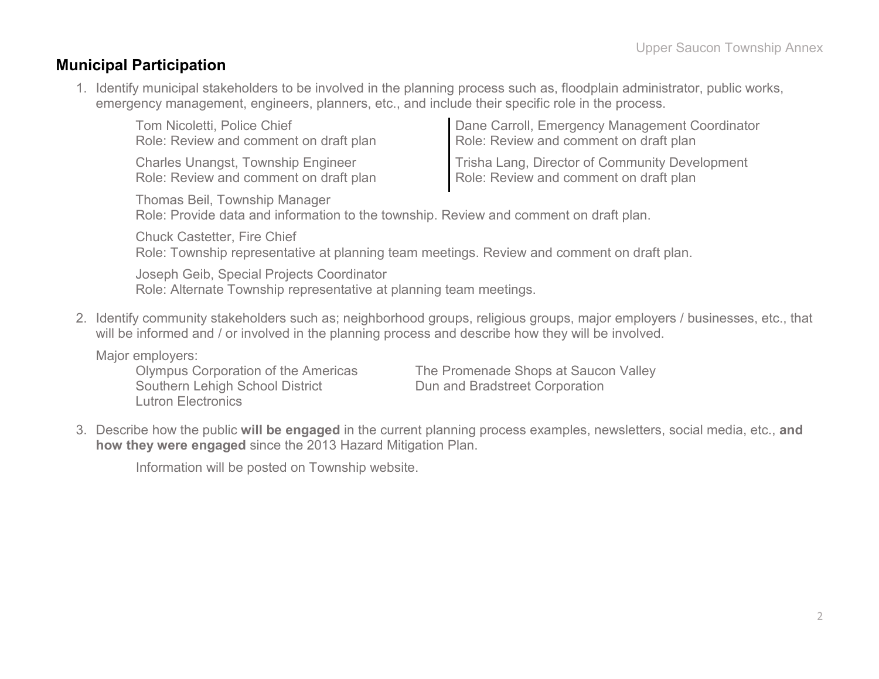#### **Municipal Participation**

1. Identify municipal stakeholders to be involved in the planning process such as, floodplain administrator, public works, emergency management, engineers, planners, etc., and include their specific role in the process.

| Tom Nicoletti, Police Chief               | Dane Carroll, Emergency Management Coordinator |
|-------------------------------------------|------------------------------------------------|
| Role: Review and comment on draft plan    | Role: Review and comment on draft plan         |
| <b>Charles Unangst, Township Engineer</b> | Trisha Lang, Director of Community Development |
| Role: Review and comment on draft plan    | Role: Review and comment on draft plan         |

Thomas Beil, Township Manager Role: Provide data and information to the township. Review and comment on draft plan.

Chuck Castetter, Fire Chief Role: Township representative at planning team meetings. Review and comment on draft plan.

Joseph Geib, Special Projects Coordinator Role: Alternate Township representative at planning team meetings.

2. Identify community stakeholders such as; neighborhood groups, religious groups, major employers / businesses, etc., that will be informed and / or involved in the planning process and describe how they will be involved.

Major employers:

Lutron Electronics

Olympus Corporation of the Americas<br>
The Promenade Shops at Saucon Valley<br>
Dun and Bradstreet Corporation Dun and Bradstreet Corporation

3. Describe how the public **will be engaged** in the current planning process examples, newsletters, social media, etc., **and how they were engaged** since the 2013 Hazard Mitigation Plan.

Information will be posted on Township website.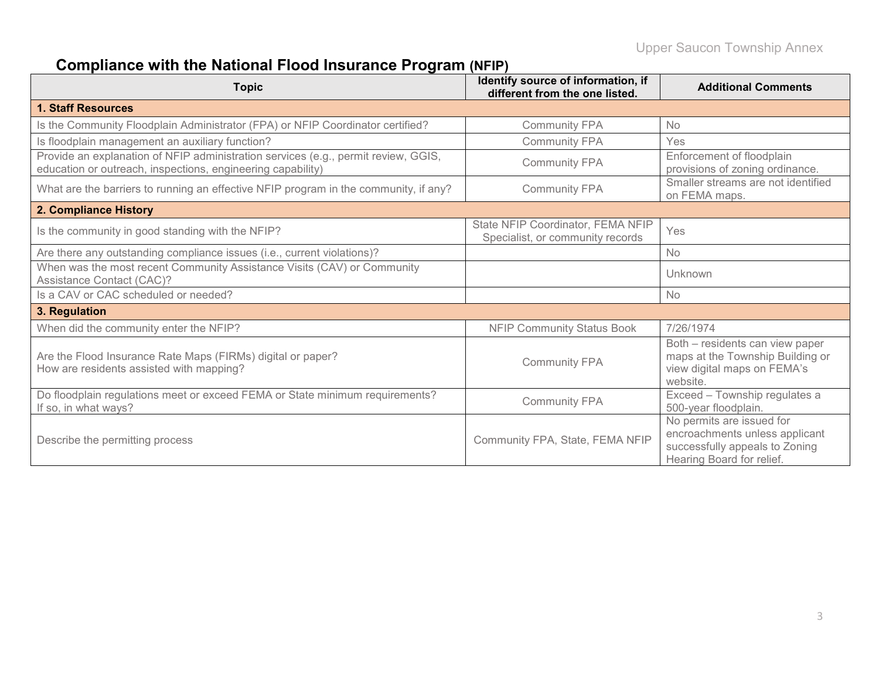# **Compliance with the National Flood Insurance Program (NFIP)**

| <b>Topic</b>                                                                                                                                      | Identify source of information, if<br>different from the one listed.  | <b>Additional Comments</b>                                                                                                 |
|---------------------------------------------------------------------------------------------------------------------------------------------------|-----------------------------------------------------------------------|----------------------------------------------------------------------------------------------------------------------------|
| 1. Staff Resources                                                                                                                                |                                                                       |                                                                                                                            |
| Is the Community Floodplain Administrator (FPA) or NFIP Coordinator certified?                                                                    | <b>Community FPA</b>                                                  | <b>No</b>                                                                                                                  |
| Is floodplain management an auxiliary function?                                                                                                   | <b>Community FPA</b>                                                  | Yes                                                                                                                        |
| Provide an explanation of NFIP administration services (e.g., permit review, GGIS,<br>education or outreach, inspections, engineering capability) | <b>Community FPA</b>                                                  | Enforcement of floodplain<br>provisions of zoning ordinance.                                                               |
| What are the barriers to running an effective NFIP program in the community, if any?                                                              | <b>Community FPA</b>                                                  | Smaller streams are not identified<br>on FEMA maps.                                                                        |
| 2. Compliance History                                                                                                                             |                                                                       |                                                                                                                            |
| Is the community in good standing with the NFIP?                                                                                                  | State NFIP Coordinator, FEMA NFIP<br>Specialist, or community records | Yes                                                                                                                        |
| Are there any outstanding compliance issues (i.e., current violations)?                                                                           |                                                                       | <b>No</b>                                                                                                                  |
| When was the most recent Community Assistance Visits (CAV) or Community<br>Assistance Contact (CAC)?                                              |                                                                       | Unknown                                                                                                                    |
| Is a CAV or CAC scheduled or needed?                                                                                                              |                                                                       | <b>No</b>                                                                                                                  |
| 3. Regulation                                                                                                                                     |                                                                       |                                                                                                                            |
| When did the community enter the NFIP?                                                                                                            | <b>NFIP Community Status Book</b>                                     | 7/26/1974                                                                                                                  |
| Are the Flood Insurance Rate Maps (FIRMs) digital or paper?<br>How are residents assisted with mapping?                                           | <b>Community FPA</b>                                                  | Both - residents can view paper<br>maps at the Township Building or<br>view digital maps on FEMA's<br>website.             |
| Do floodplain regulations meet or exceed FEMA or State minimum requirements?<br>If so, in what ways?                                              | <b>Community FPA</b>                                                  | Exceed - Township regulates a<br>500-year floodplain.                                                                      |
| Describe the permitting process                                                                                                                   | Community FPA, State, FEMA NFIP                                       | No permits are issued for<br>encroachments unless applicant<br>successfully appeals to Zoning<br>Hearing Board for relief. |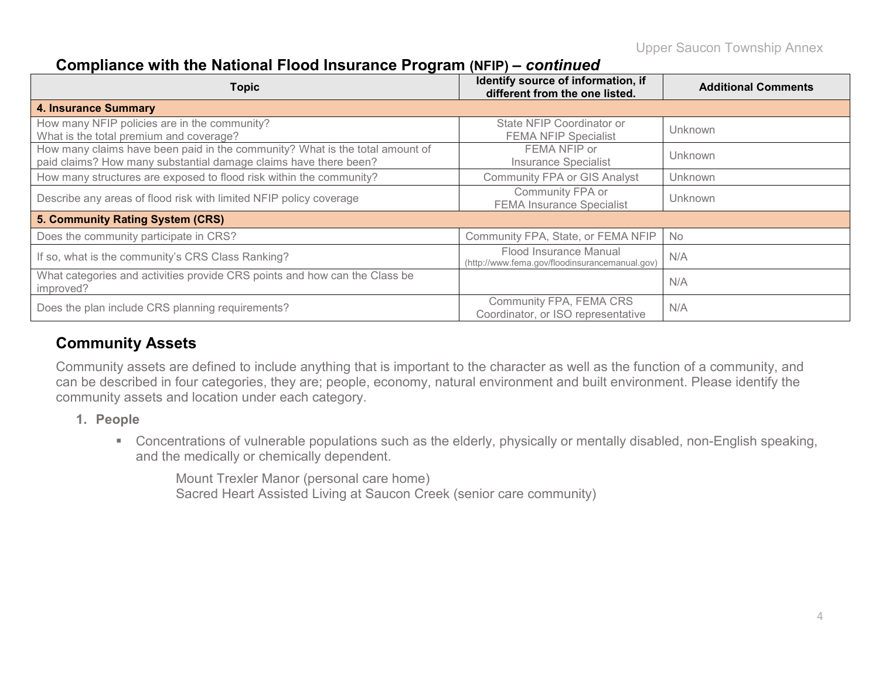#### **Compliance with the National Flood Insurance Program (NFIP) –** *continued*

| <b>Topic</b>                                                                                                                                     | Identify source of information, if<br>different from the one listed.     | <b>Additional Comments</b> |
|--------------------------------------------------------------------------------------------------------------------------------------------------|--------------------------------------------------------------------------|----------------------------|
| <b>4. Insurance Summary</b>                                                                                                                      |                                                                          |                            |
| How many NFIP policies are in the community?<br>What is the total premium and coverage?                                                          | State NFIP Coordinator or<br><b>FEMA NFIP Specialist</b>                 | Unknown                    |
| How many claims have been paid in the community? What is the total amount of<br>paid claims? How many substantial damage claims have there been? | FEMA NFIP or<br>Insurance Specialist                                     | Unknown                    |
| How many structures are exposed to flood risk within the community?                                                                              | <b>Community FPA or GIS Analyst</b>                                      | Unknown                    |
| Describe any areas of flood risk with limited NFIP policy coverage                                                                               | Community FPA or<br><b>FEMA Insurance Specialist</b>                     | Unknown                    |
| 5. Community Rating System (CRS)                                                                                                                 |                                                                          |                            |
| Does the community participate in CRS?                                                                                                           | Community FPA, State, or FEMA NFIP                                       | <b>No</b>                  |
| If so, what is the community's CRS Class Ranking?                                                                                                | Flood Insurance Manual<br>(http://www.fema.gov/floodinsurancemanual.gov) | N/A                        |
| What categories and activities provide CRS points and how can the Class be<br>improved?                                                          |                                                                          | N/A                        |
| Does the plan include CRS planning requirements?                                                                                                 | Community FPA, FEMA CRS<br>Coordinator, or ISO representative            | N/A                        |

### **Community Assets**

Community assets are defined to include anything that is important to the character as well as the function of a community, and can be described in four categories, they are; people, economy, natural environment and built environment. Please identify the community assets and location under each category.

- **1. People**
	- Concentrations of vulnerable populations such as the elderly, physically or mentally disabled, non-English speaking, and the medically or chemically dependent.

Mount Trexler Manor (personal care home) Sacred Heart Assisted Living at Saucon Creek (senior care community)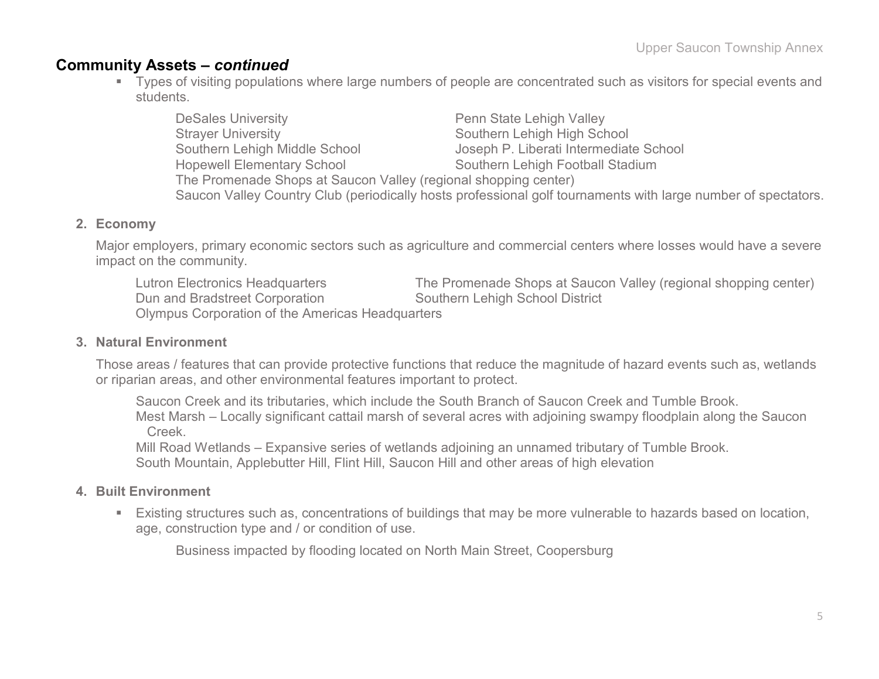#### **Community Assets –** *continued*

- Types of visiting populations where large numbers of people are concentrated such as visitors for special events and students.
	- DeSales University **Penn State Lehigh Valley** Strayer University **Strayer University** Southern Lehigh High School Southern Lehigh Middle School Joseph P. Liberati Intermediate School Hopewell Elementary School Southern Lehigh Football Stadium The Promenade Shops at Saucon Valley (regional shopping center) Saucon Valley Country Club (periodically hosts professional golf tournaments with large number of spectators.

#### **2. Economy**

Major employers, primary economic sectors such as agriculture and commercial centers where losses would have a severe impact on the community.

Lutron Electronics Headquarters The Promenade Shops at Saucon Valley (regional shopping center) Dun and Bradstreet Corporation Southern Lehigh School District Olympus Corporation of the Americas Headquarters

#### **3. Natural Environment**

Those areas / features that can provide protective functions that reduce the magnitude of hazard events such as, wetlands or riparian areas, and other environmental features important to protect.

Saucon Creek and its tributaries, which include the South Branch of Saucon Creek and Tumble Brook. Mest Marsh – Locally significant cattail marsh of several acres with adjoining swampy floodplain along the Saucon Creek.

Mill Road Wetlands – Expansive series of wetlands adjoining an unnamed tributary of Tumble Brook. South Mountain, Applebutter Hill, Flint Hill, Saucon Hill and other areas of high elevation

#### **4. Built Environment**

 Existing structures such as, concentrations of buildings that may be more vulnerable to hazards based on location, age, construction type and / or condition of use.

Business impacted by flooding located on North Main Street, Coopersburg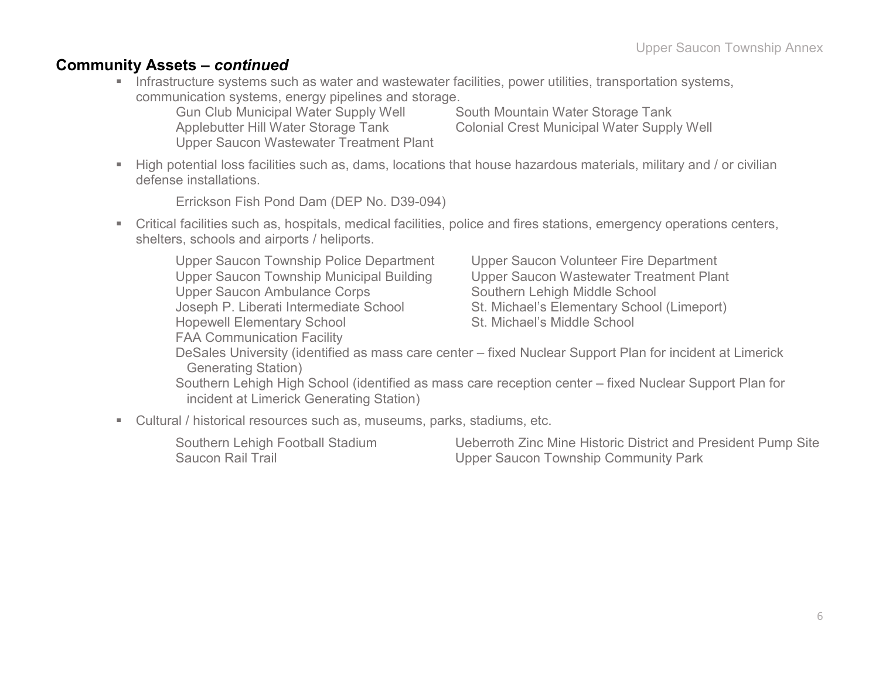#### **Community Assets –** *continued*

**Infrastructure systems such as water and wastewater facilities, power utilities, transportation systems,** communication systems, energy pipelines and storage.

Gun Club Municipal Water Supply Well South Mountain Water Storage Tank Upper Saucon Wastewater Treatment Plant

Applebutter Hill Water Storage Tank Colonial Crest Municipal Water Supply Well

 High potential loss facilities such as, dams, locations that house hazardous materials, military and / or civilian defense installations.

Errickson Fish Pond Dam (DEP No. D39-094)

 Critical facilities such as, hospitals, medical facilities, police and fires stations, emergency operations centers, shelters, schools and airports / heliports.

Upper Saucon Township Police Department Upper Saucon Volunteer Fire Department Upper Saucon Township Municipal Building Upper Saucon Wastewater Treatment Plant Upper Saucon Ambulance Corps Southern Lehigh Middle School Joseph P. Liberati Intermediate School St. Michael's Elementary School (Limeport) Hopewell Elementary School St. Michael's Middle School

DeSales University (identified as mass care center – fixed Nuclear Support Plan for incident at Limerick Generating Station)

Southern Lehigh High School (identified as mass care reception center – fixed Nuclear Support Plan for incident at Limerick Generating Station)

Cultural / historical resources such as, museums, parks, stadiums, etc.

FAA Communication Facility

Southern Lehigh Football Stadium Ueberroth Zinc Mine Historic District and President Pump Site Saucon Rail Trail **Saucon Rail Trail** Community Park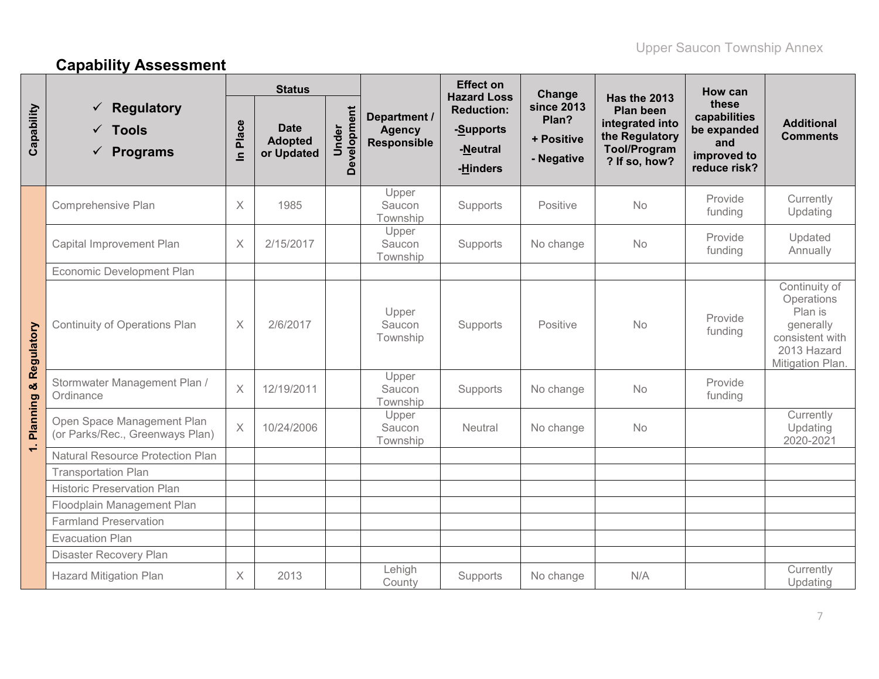# **Capability Assessment**

|                                  |                                                                       |                       | <b>Status</b>                               |                      |                                                     | <b>Effect on</b><br><b>Hazard Loss</b>                 | Change                                                 |                                                                                                                      | How can                                                                    |                                                                                                           |
|----------------------------------|-----------------------------------------------------------------------|-----------------------|---------------------------------------------|----------------------|-----------------------------------------------------|--------------------------------------------------------|--------------------------------------------------------|----------------------------------------------------------------------------------------------------------------------|----------------------------------------------------------------------------|-----------------------------------------------------------------------------------------------------------|
| Capability                       | <b>Regulatory</b><br>✓<br>$\checkmark$ Tools<br>$\checkmark$ Programs | Place<br>$\mathbf{a}$ | <b>Date</b><br><b>Adopted</b><br>or Updated | Development<br>Under | Department /<br><b>Agency</b><br><b>Responsible</b> | <b>Reduction:</b><br>-Supports<br>-Neutral<br>-Hinders | <b>since 2013</b><br>Plan?<br>+ Positive<br>- Negative | <b>Has the 2013</b><br><b>Plan been</b><br>integrated into<br>the Regulatory<br><b>Tool/Program</b><br>? If so, how? | these<br>capabilities<br>be expanded<br>and<br>improved to<br>reduce risk? | <b>Additional</b><br><b>Comments</b>                                                                      |
|                                  | Comprehensive Plan                                                    | $\times$              | 1985                                        |                      | Upper<br>Saucon<br>Township                         | Supports                                               | Positive                                               | <b>No</b>                                                                                                            | Provide<br>funding                                                         | Currently<br>Updating                                                                                     |
|                                  | Capital Improvement Plan                                              | X                     | 2/15/2017                                   |                      | Upper<br>Saucon<br>Township                         | Supports                                               | No change                                              | No                                                                                                                   | Provide<br>funding                                                         | Updated<br>Annually                                                                                       |
|                                  | Economic Development Plan                                             |                       |                                             |                      |                                                     |                                                        |                                                        |                                                                                                                      |                                                                            |                                                                                                           |
| <b>Planning &amp; Regulatory</b> | <b>Continuity of Operations Plan</b>                                  | $\times$              | 2/6/2017                                    |                      | Upper<br>Saucon<br>Township                         | Supports                                               | Positive                                               | <b>No</b>                                                                                                            | Provide<br>funding                                                         | Continuity of<br>Operations<br>Plan is<br>generally<br>consistent with<br>2013 Hazard<br>Mitigation Plan. |
|                                  | Stormwater Management Plan /<br>Ordinance                             | $\times$              | 12/19/2011                                  |                      | Upper<br>Saucon<br>Township                         | Supports                                               | No change                                              | No                                                                                                                   | Provide<br>funding                                                         |                                                                                                           |
|                                  | Open Space Management Plan<br>(or Parks/Rec., Greenways Plan)         | $\times$              | 10/24/2006                                  |                      | Upper<br>Saucon<br>Township                         | Neutral                                                | No change                                              | No                                                                                                                   |                                                                            | Currently<br>Updating<br>2020-2021                                                                        |
| $\div$                           | <b>Natural Resource Protection Plan</b>                               |                       |                                             |                      |                                                     |                                                        |                                                        |                                                                                                                      |                                                                            |                                                                                                           |
|                                  | <b>Transportation Plan</b>                                            |                       |                                             |                      |                                                     |                                                        |                                                        |                                                                                                                      |                                                                            |                                                                                                           |
|                                  | <b>Historic Preservation Plan</b>                                     |                       |                                             |                      |                                                     |                                                        |                                                        |                                                                                                                      |                                                                            |                                                                                                           |
|                                  | Floodplain Management Plan                                            |                       |                                             |                      |                                                     |                                                        |                                                        |                                                                                                                      |                                                                            |                                                                                                           |
|                                  | <b>Farmland Preservation</b>                                          |                       |                                             |                      |                                                     |                                                        |                                                        |                                                                                                                      |                                                                            |                                                                                                           |
|                                  | <b>Evacuation Plan</b>                                                |                       |                                             |                      |                                                     |                                                        |                                                        |                                                                                                                      |                                                                            |                                                                                                           |
|                                  | Disaster Recovery Plan                                                |                       |                                             |                      |                                                     |                                                        |                                                        |                                                                                                                      |                                                                            |                                                                                                           |
|                                  | <b>Hazard Mitigation Plan</b>                                         | $\times$              | 2013                                        |                      | Lehigh<br>County                                    | Supports                                               | No change                                              | N/A                                                                                                                  |                                                                            | Currently<br>Updating                                                                                     |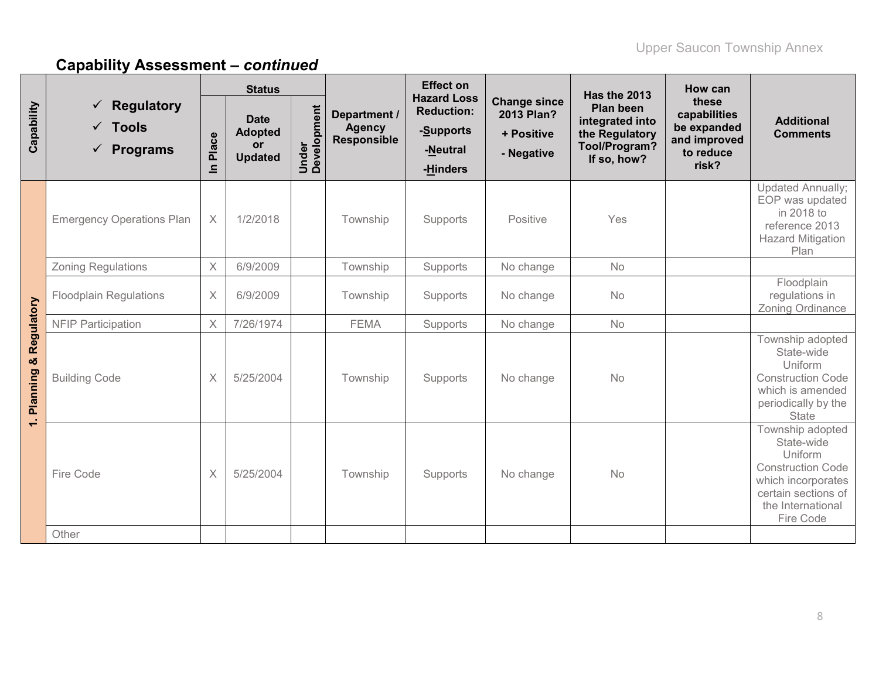|                          |                                                                        |                       | <b>Status</b>                                                |                      |                                                     | <b>Effect on</b><br><b>Hazard Loss</b>                 |                                                               | Has the 2013                                                                          | How can                                                                    |                                                                                                                                                      |
|--------------------------|------------------------------------------------------------------------|-----------------------|--------------------------------------------------------------|----------------------|-----------------------------------------------------|--------------------------------------------------------|---------------------------------------------------------------|---------------------------------------------------------------------------------------|----------------------------------------------------------------------------|------------------------------------------------------------------------------------------------------------------------------------------------------|
| Capability               | $\checkmark$ Regulatory<br>$\checkmark$ Tools<br>$\checkmark$ Programs | Place<br>$\mathbf{a}$ | <b>Date</b><br><b>Adopted</b><br><b>or</b><br><b>Updated</b> | Under<br>Development | Department /<br><b>Agency</b><br><b>Responsible</b> | <b>Reduction:</b><br>-Supports<br>-Neutral<br>-Hinders | <b>Change since</b><br>2013 Plan?<br>+ Positive<br>- Negative | <b>Plan been</b><br>integrated into<br>the Regulatory<br>Tool/Program?<br>If so, how? | these<br>capabilities<br>be expanded<br>and improved<br>to reduce<br>risk? | <b>Additional</b><br><b>Comments</b>                                                                                                                 |
|                          | <b>Emergency Operations Plan</b>                                       | $\times$              | 1/2/2018                                                     |                      | Township                                            | Supports                                               | Positive                                                      | Yes                                                                                   |                                                                            | <b>Updated Annually;</b><br>EOP was updated<br>in 2018 to<br>reference 2013<br><b>Hazard Mitigation</b><br>Plan                                      |
|                          | <b>Zoning Regulations</b>                                              | $\times$              | 6/9/2009                                                     |                      | Township                                            | Supports                                               | No change                                                     | No                                                                                    |                                                                            |                                                                                                                                                      |
|                          | <b>Floodplain Regulations</b>                                          | $\times$              | 6/9/2009                                                     |                      | Township                                            | Supports                                               | No change                                                     | No                                                                                    |                                                                            | Floodplain<br>regulations in<br>Zoning Ordinance                                                                                                     |
|                          | <b>NFIP Participation</b>                                              | X                     | 7/26/1974                                                    |                      | <b>FEMA</b>                                         | Supports                                               | No change                                                     | No                                                                                    |                                                                            |                                                                                                                                                      |
| & Regulatory<br>Planning | <b>Building Code</b>                                                   | $\times$              | 5/25/2004                                                    |                      | Township                                            | Supports                                               | No change                                                     | No                                                                                    |                                                                            | Township adopted<br>State-wide<br>Uniform<br><b>Construction Code</b><br>which is amended<br>periodically by the<br><b>State</b>                     |
| $\div$                   | Fire Code                                                              | $\times$              | 5/25/2004                                                    |                      | Township                                            | Supports                                               | No change                                                     | No                                                                                    |                                                                            | Township adopted<br>State-wide<br>Uniform<br><b>Construction Code</b><br>which incorporates<br>certain sections of<br>the International<br>Fire Code |
|                          | Other                                                                  |                       |                                                              |                      |                                                     |                                                        |                                                               |                                                                                       |                                                                            |                                                                                                                                                      |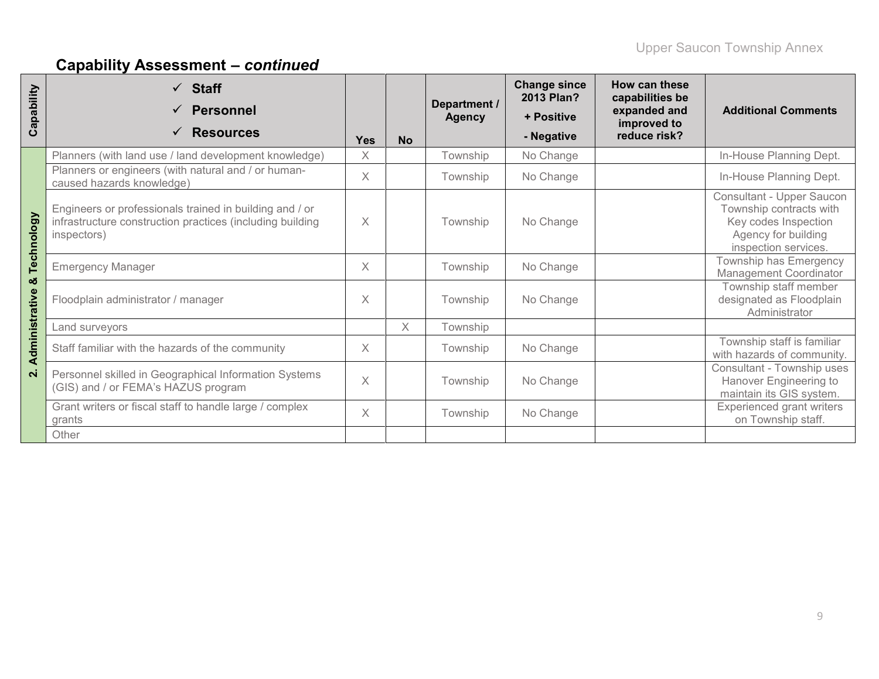| Capability          | <b>Staff</b><br><b>Personnel</b><br><b>Resources</b>                                                                                | <b>Yes</b> | <b>No</b> | Department /<br><b>Agency</b> | <b>Change since</b><br>2013 Plan?<br>+ Positive<br>- Negative | How can these<br>capabilities be<br>expanded and<br>improved to<br>reduce risk? | <b>Additional Comments</b>                                                                                                  |
|---------------------|-------------------------------------------------------------------------------------------------------------------------------------|------------|-----------|-------------------------------|---------------------------------------------------------------|---------------------------------------------------------------------------------|-----------------------------------------------------------------------------------------------------------------------------|
|                     | Planners (with land use / land development knowledge)                                                                               | X          |           | Township                      | No Change                                                     |                                                                                 | In-House Planning Dept.                                                                                                     |
|                     | Planners or engineers (with natural and / or human-<br>caused hazards knowledge)                                                    | X          |           | Township                      | No Change                                                     |                                                                                 | In-House Planning Dept.                                                                                                     |
| Technology          | Engineers or professionals trained in building and / or<br>infrastructure construction practices (including building<br>inspectors) | X          |           | Township                      | No Change                                                     |                                                                                 | Consultant - Upper Saucon<br>Township contracts with<br>Key codes Inspection<br>Agency for building<br>inspection services. |
|                     | <b>Emergency Manager</b>                                                                                                            | X          |           | Township                      | No Change                                                     |                                                                                 | Township has Emergency<br><b>Management Coordinator</b>                                                                     |
| ×<br>Administrative | Floodplain administrator / manager                                                                                                  | X          |           | Township                      | No Change                                                     |                                                                                 | Township staff member<br>designated as Floodplain<br>Administrator                                                          |
|                     | Land surveyors                                                                                                                      |            | $\times$  | Township                      |                                                               |                                                                                 |                                                                                                                             |
|                     | Staff familiar with the hazards of the community                                                                                    | X          |           | Township                      | No Change                                                     |                                                                                 | Township staff is familiar<br>with hazards of community.                                                                    |
| $\overline{N}$      | Personnel skilled in Geographical Information Systems<br>(GIS) and / or FEMA's HAZUS program                                        | X          |           | Township                      | No Change                                                     |                                                                                 | Consultant - Township uses<br>Hanover Engineering to<br>maintain its GIS system.                                            |
|                     | Grant writers or fiscal staff to handle large / complex<br>grants                                                                   | X          |           | Township                      | No Change                                                     |                                                                                 | <b>Experienced grant writers</b><br>on Township staff.                                                                      |
|                     | Other                                                                                                                               |            |           |                               |                                                               |                                                                                 |                                                                                                                             |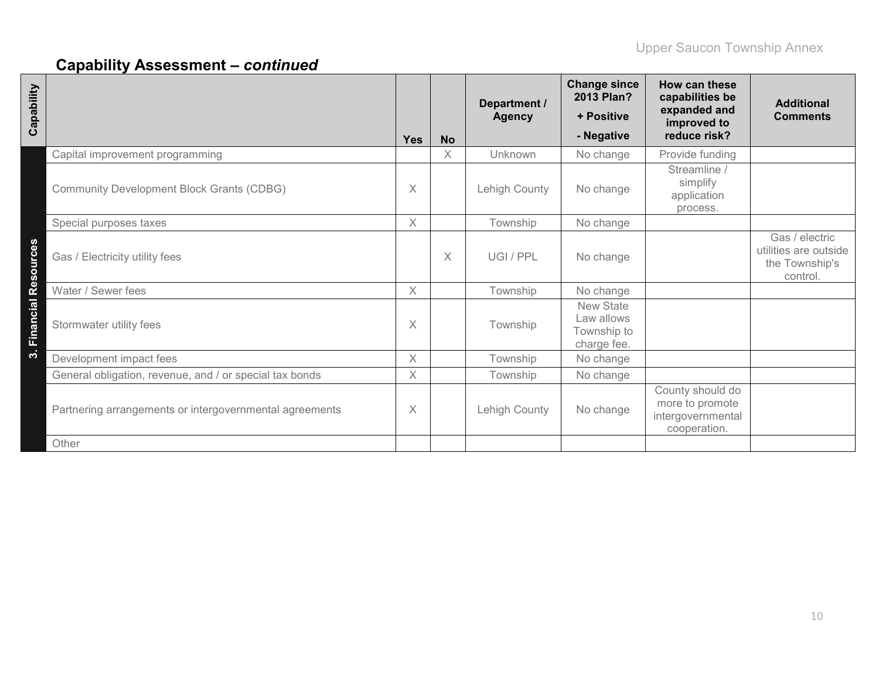| Capability                                              | Yes      | <b>No</b> | Department /<br><b>Agency</b> | <b>Change since</b><br>2013 Plan?<br>+ Positive<br>- Negative | How can these<br>capabilities be<br>expanded and<br>improved to<br>reduce risk? | <b>Additional</b><br><b>Comments</b>                                  |
|---------------------------------------------------------|----------|-----------|-------------------------------|---------------------------------------------------------------|---------------------------------------------------------------------------------|-----------------------------------------------------------------------|
| Capital improvement programming                         |          | X         | Unknown                       | No change                                                     | Provide funding                                                                 |                                                                       |
| <b>Community Development Block Grants (CDBG)</b>        | X        |           | Lehigh County                 | No change                                                     | Streamline<br>simplify<br>application<br>process.                               |                                                                       |
| Special purposes taxes                                  | $\times$ |           | Township                      | No change                                                     |                                                                                 |                                                                       |
| Gas / Electricity utility fees                          |          | X         | UGI/PPL                       | No change                                                     |                                                                                 | Gas / electric<br>utilities are outside<br>the Township's<br>control. |
| Water / Sewer fees                                      | $\times$ |           | Township                      | No change                                                     |                                                                                 |                                                                       |
| 3. Financial Resources<br>Stormwater utility fees       | $\times$ |           | Township                      | <b>New State</b><br>Law allows<br>Township to<br>charge fee.  |                                                                                 |                                                                       |
| Development impact fees                                 | $\times$ |           | Township                      | No change                                                     |                                                                                 |                                                                       |
| General obligation, revenue, and / or special tax bonds | $\times$ |           | Township                      | No change                                                     |                                                                                 |                                                                       |
| Partnering arrangements or intergovernmental agreements | X        |           | Lehigh County                 | No change                                                     | County should do<br>more to promote<br>intergovernmental<br>cooperation.        |                                                                       |
| Other                                                   |          |           |                               |                                                               |                                                                                 |                                                                       |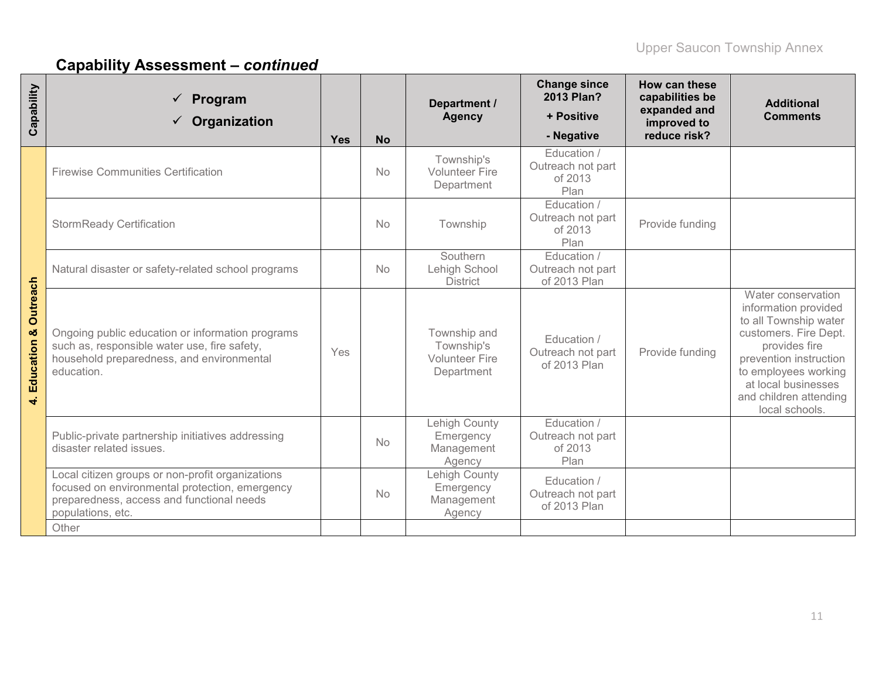| Capability                           | Program<br>Organization                                                                                                                                              | <b>Yes</b> | <b>No</b> | Department /<br><b>Agency</b>                                     | <b>Change since</b><br>2013 Plan?<br>+ Positive<br>- Negative | How can these<br>capabilities be<br>expanded and<br>improved to<br>reduce risk? | <b>Additional</b><br><b>Comments</b>                                                                                                                                                                                               |
|--------------------------------------|----------------------------------------------------------------------------------------------------------------------------------------------------------------------|------------|-----------|-------------------------------------------------------------------|---------------------------------------------------------------|---------------------------------------------------------------------------------|------------------------------------------------------------------------------------------------------------------------------------------------------------------------------------------------------------------------------------|
|                                      | <b>Firewise Communities Certification</b>                                                                                                                            |            | <b>No</b> | Township's<br><b>Volunteer Fire</b><br>Department                 | Education /<br>Outreach not part<br>of 2013<br>Plan           |                                                                                 |                                                                                                                                                                                                                                    |
|                                      | <b>StormReady Certification</b>                                                                                                                                      |            | <b>No</b> | Township                                                          | Education /<br>Outreach not part<br>of 2013<br>Plan           | Provide funding                                                                 |                                                                                                                                                                                                                                    |
|                                      | Natural disaster or safety-related school programs                                                                                                                   |            | <b>No</b> | Southern<br>Lehigh School<br><b>District</b>                      | Education /<br>Outreach not part<br>of 2013 Plan              |                                                                                 |                                                                                                                                                                                                                                    |
| Outreach<br>Education &<br>$\vec{r}$ | Ongoing public education or information programs<br>such as, responsible water use, fire safety,<br>household preparedness, and environmental<br>education.          | Yes        |           | Township and<br>Township's<br><b>Volunteer Fire</b><br>Department | Education /<br>Outreach not part<br>of 2013 Plan              | Provide funding                                                                 | Water conservation<br>information provided<br>to all Township water<br>customers. Fire Dept.<br>provides fire<br>prevention instruction<br>to employees working<br>at local businesses<br>and children attending<br>local schools. |
|                                      | Public-private partnership initiatives addressing<br>disaster related issues.                                                                                        |            | No        | Lehigh County<br>Emergency<br>Management<br>Agency                | Education /<br>Outreach not part<br>of 2013<br>Plan           |                                                                                 |                                                                                                                                                                                                                                    |
|                                      | Local citizen groups or non-profit organizations<br>focused on environmental protection, emergency<br>preparedness, access and functional needs<br>populations, etc. |            | <b>No</b> | Lehigh County<br>Emergency<br>Management<br>Agency                | Education /<br>Outreach not part<br>of 2013 Plan              |                                                                                 |                                                                                                                                                                                                                                    |
|                                      | Other                                                                                                                                                                |            |           |                                                                   |                                                               |                                                                                 |                                                                                                                                                                                                                                    |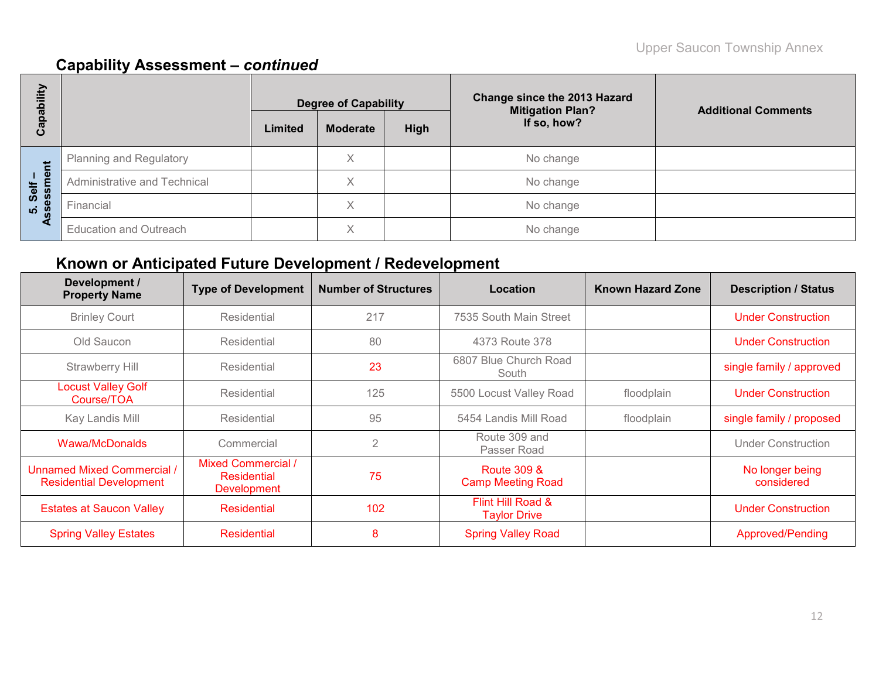| bility                 |                                |         | <b>Degree of Capability</b> |      | <b>Change since the 2013 Hazard</b><br><b>Mitigation Plan?</b> | <b>Additional Comments</b> |
|------------------------|--------------------------------|---------|-----------------------------|------|----------------------------------------------------------------|----------------------------|
| Capat                  |                                | Limited | <b>Moderate</b>             | High | If so, how?                                                    |                            |
|                        | <b>Planning and Regulatory</b> |         | X                           |      | No change                                                      |                            |
| 5. Self –<br>ssessment | Administrative and Technical   |         | $\checkmark$                |      | No change                                                      |                            |
|                        | Financial                      |         | Χ                           |      | No change                                                      |                            |
| ∢                      | <b>Education and Outreach</b>  |         | $\checkmark$<br>∧           |      | No change                                                      |                            |

# **Known or Anticipated Future Development / Redevelopment**

| Development /<br><b>Property Name</b>                               | <b>Type of Development</b>                                     | <b>Number of Structures</b> | Location                                           | <b>Known Hazard Zone</b> | <b>Description / Status</b>   |
|---------------------------------------------------------------------|----------------------------------------------------------------|-----------------------------|----------------------------------------------------|--------------------------|-------------------------------|
| <b>Brinley Court</b>                                                | Residential                                                    | 217                         | 7535 South Main Street                             |                          | <b>Under Construction</b>     |
| Old Saucon                                                          | Residential                                                    | 80                          | 4373 Route 378                                     |                          | <b>Under Construction</b>     |
| Strawberry Hill                                                     | Residential                                                    | 23                          | 6807 Blue Church Road<br>South                     |                          | single family / approved      |
| <b>Locust Valley Golf</b><br>Course/TOA                             | Residential                                                    | 125                         | 5500 Locust Valley Road                            | floodplain               | <b>Under Construction</b>     |
| Kay Landis Mill                                                     | Residential                                                    | 95                          | 5454 Landis Mill Road                              | floodplain               | single family / proposed      |
| Wawa/McDonalds                                                      | Commercial                                                     | 2                           | Route 309 and<br>Passer Road                       |                          | <b>Under Construction</b>     |
| <b>Unnamed Mixed Commercial /</b><br><b>Residential Development</b> | <b>Mixed Commercial /</b><br>Residential<br><b>Development</b> | 75                          | <b>Route 309 &amp;</b><br><b>Camp Meeting Road</b> |                          | No longer being<br>considered |
| <b>Estates at Saucon Valley</b>                                     | <b>Residential</b>                                             | 102                         | Flint Hill Road &<br><b>Taylor Drive</b>           |                          | <b>Under Construction</b>     |
| <b>Spring Valley Estates</b>                                        | Residential                                                    | 8                           | <b>Spring Valley Road</b>                          |                          | Approved/Pending              |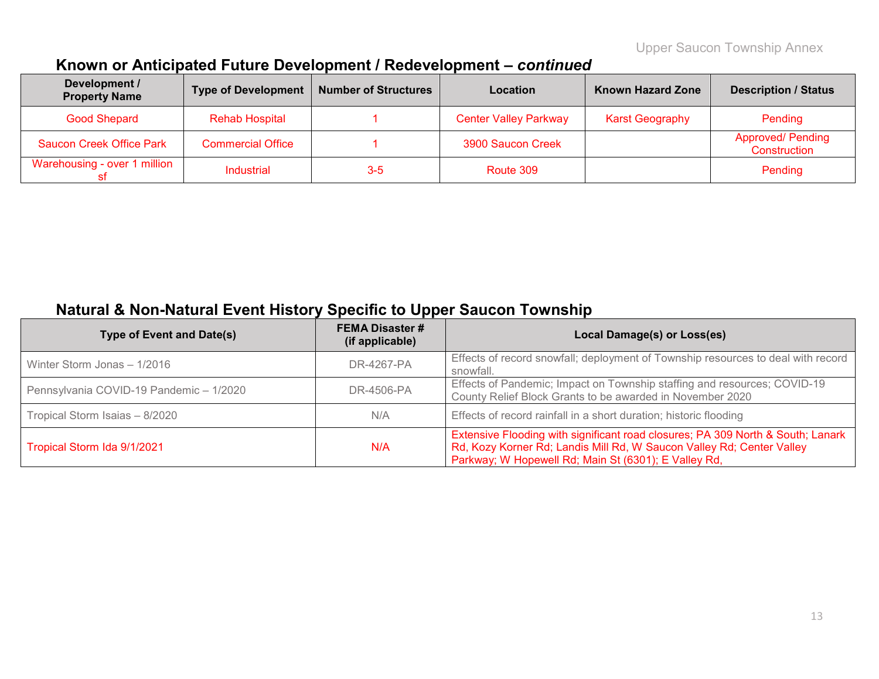# **Known or Anticipated Future Development / Redevelopment –** *continued*

| Development /<br><b>Property Name</b> | Type of Development      | <b>Number of Structures</b> | Location                     | <b>Known Hazard Zone</b> | <b>Description / Status</b>              |
|---------------------------------------|--------------------------|-----------------------------|------------------------------|--------------------------|------------------------------------------|
| <b>Good Shepard</b>                   | <b>Rehab Hospital</b>    |                             | <b>Center Valley Parkway</b> | <b>Karst Geography</b>   | Pending                                  |
| <b>Saucon Creek Office Park</b>       | <b>Commercial Office</b> |                             | 3900 Saucon Creek            |                          | <b>Approved/ Pending</b><br>Construction |
| Warehousing - over 1 million          | <b>Industrial</b>        | $3-5$                       | Route 309                    |                          | Pending                                  |

# **Natural & Non-Natural Event History Specific to Upper Saucon Township**

| <b>Type of Event and Date(s)</b>        | <b>FEMA Disaster #</b><br>(if applicable) | Local Damage(s) or Loss(es)                                                                                                                                                                                      |
|-----------------------------------------|-------------------------------------------|------------------------------------------------------------------------------------------------------------------------------------------------------------------------------------------------------------------|
| Winter Storm Jonas - 1/2016             | DR-4267-PA                                | Effects of record snowfall; deployment of Township resources to deal with record<br>snowfall.                                                                                                                    |
| Pennsylvania COVID-19 Pandemic - 1/2020 | DR-4506-PA                                | Effects of Pandemic; Impact on Township staffing and resources; COVID-19<br>County Relief Block Grants to be awarded in November 2020                                                                            |
| Tropical Storm Isaias - 8/2020          | N/A                                       | Effects of record rainfall in a short duration; historic flooding                                                                                                                                                |
| Tropical Storm Ida 9/1/2021             | N/A                                       | Extensive Flooding with significant road closures; PA 309 North & South; Lanark<br>Rd, Kozy Korner Rd; Landis Mill Rd, W Saucon Valley Rd; Center Valley<br>Parkway; W Hopewell Rd; Main St (6301); E Valley Rd, |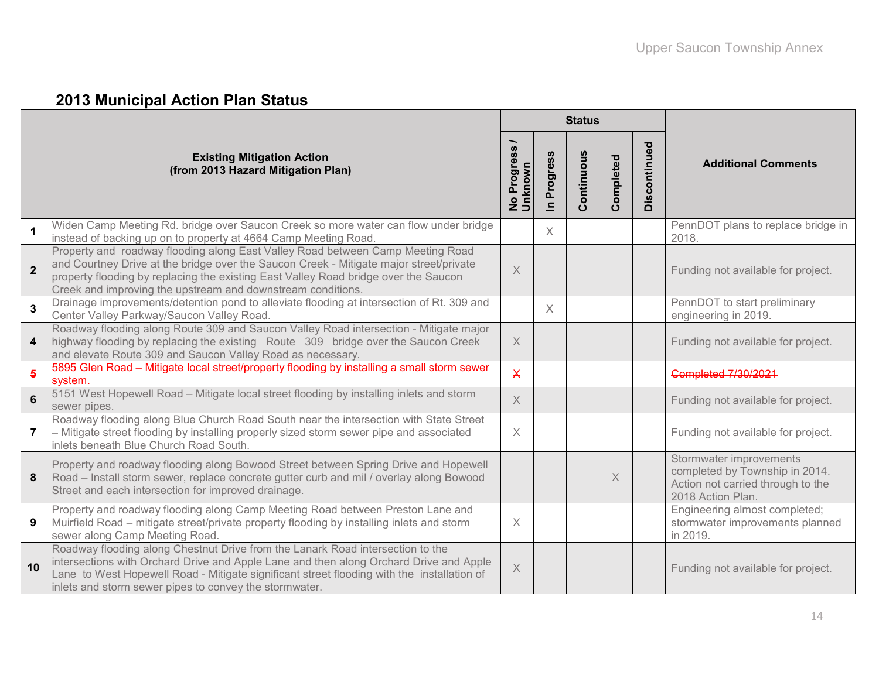# **2013 Municipal Action Plan Status**

|                |                                                                                                                                                                                                                                                                                                                                  |                             |                                     | <b>Status</b> |           |              |                                                                                                                     |
|----------------|----------------------------------------------------------------------------------------------------------------------------------------------------------------------------------------------------------------------------------------------------------------------------------------------------------------------------------|-----------------------------|-------------------------------------|---------------|-----------|--------------|---------------------------------------------------------------------------------------------------------------------|
|                | <b>Existing Mitigation Action</b><br>(from 2013 Hazard Mitigation Plan)                                                                                                                                                                                                                                                          | ∽<br>No Progress<br>Unknown | Progress<br>$\overline{\mathbf{z}}$ | Continuous    | Completed | Discontinued | <b>Additional Comments</b>                                                                                          |
| $\mathbf 1$    | Widen Camp Meeting Rd. bridge over Saucon Creek so more water can flow under bridge<br>instead of backing up on to property at 4664 Camp Meeting Road.                                                                                                                                                                           |                             | X                                   |               |           |              | PennDOT plans to replace bridge in<br>2018.                                                                         |
| $\overline{2}$ | Property and roadway flooding along East Valley Road between Camp Meeting Road<br>and Courtney Drive at the bridge over the Saucon Creek - Mitigate major street/private<br>property flooding by replacing the existing East Valley Road bridge over the Saucon<br>Creek and improving the upstream and downstream conditions.   | $\times$                    |                                     |               |           |              | Funding not available for project.                                                                                  |
| $\mathbf{3}$   | Drainage improvements/detention pond to alleviate flooding at intersection of Rt. 309 and<br>Center Valley Parkway/Saucon Valley Road.                                                                                                                                                                                           |                             | $\times$                            |               |           |              | PennDOT to start preliminary<br>engineering in 2019.                                                                |
| 4              | Roadway flooding along Route 309 and Saucon Valley Road intersection - Mitigate major<br>highway flooding by replacing the existing Route 309 bridge over the Saucon Creek<br>and elevate Route 309 and Saucon Valley Road as necessary.                                                                                         | $\times$                    |                                     |               |           |              | Funding not available for project.                                                                                  |
| $\overline{5}$ | 5895 Glen Road - Mitigate local street/property flooding by installing a small storm sewer<br>system.                                                                                                                                                                                                                            | $\overline{\mathsf{X}}$     |                                     |               |           |              | <b>Completed 7/30/2021</b>                                                                                          |
| 6              | 5151 West Hopewell Road - Mitigate local street flooding by installing inlets and storm<br>sewer pipes.                                                                                                                                                                                                                          | $\times$                    |                                     |               |           |              | Funding not available for project.                                                                                  |
| 7              | Roadway flooding along Blue Church Road South near the intersection with State Street<br>- Mitigate street flooding by installing properly sized storm sewer pipe and associated<br>inlets beneath Blue Church Road South.                                                                                                       | $\times$                    |                                     |               |           |              | Funding not available for project.                                                                                  |
| 8              | Property and roadway flooding along Bowood Street between Spring Drive and Hopewell<br>Road - Install storm sewer, replace concrete gutter curb and mil / overlay along Bowood<br>Street and each intersection for improved drainage.                                                                                            |                             |                                     |               | $\times$  |              | Stormwater improvements<br>completed by Township in 2014.<br>Action not carried through to the<br>2018 Action Plan. |
| 9              | Property and roadway flooding along Camp Meeting Road between Preston Lane and<br>Muirfield Road – mitigate street/private property flooding by installing inlets and storm<br>sewer along Camp Meeting Road.                                                                                                                    | $\times$                    |                                     |               |           |              | Engineering almost completed;<br>stormwater improvements planned<br>in 2019.                                        |
| 10             | Roadway flooding along Chestnut Drive from the Lanark Road intersection to the<br>intersections with Orchard Drive and Apple Lane and then along Orchard Drive and Apple<br>Lane to West Hopewell Road - Mitigate significant street flooding with the installation of<br>inlets and storm sewer pipes to convey the stormwater. | $\overline{\mathsf{X}}$     |                                     |               |           |              | Funding not available for project.                                                                                  |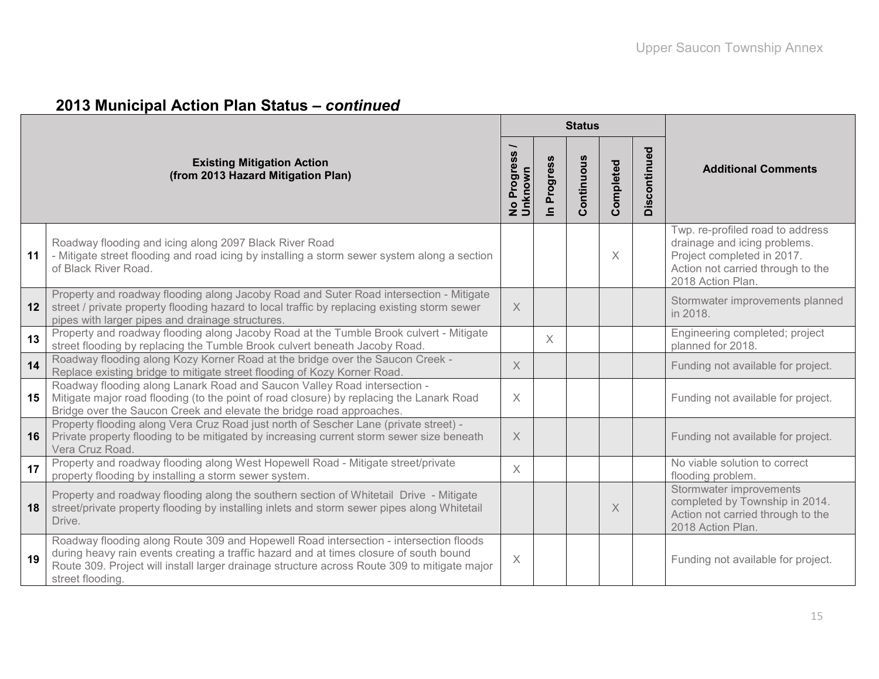|  |  |  |  |  | 2013 Municipal Action Plan Status - continued |
|--|--|--|--|--|-----------------------------------------------|
|--|--|--|--|--|-----------------------------------------------|

|    |                                                                                                                                                                                                                                                                                                     |                          |                          | <b>Status</b> |           |              |                                                                                                                                                          |
|----|-----------------------------------------------------------------------------------------------------------------------------------------------------------------------------------------------------------------------------------------------------------------------------------------------------|--------------------------|--------------------------|---------------|-----------|--------------|----------------------------------------------------------------------------------------------------------------------------------------------------------|
|    | <b>Existing Mitigation Action</b><br>(from 2013 Hazard Mitigation Plan)                                                                                                                                                                                                                             | No Progress /<br>Unknown | Progress<br>$\mathbf{a}$ | Continuous    | Completed | Discontinued | <b>Additional Comments</b>                                                                                                                               |
| 11 | Roadway flooding and icing along 2097 Black River Road<br>- Mitigate street flooding and road icing by installing a storm sewer system along a section<br>of Black River Road.                                                                                                                      |                          |                          |               | $\times$  |              | Twp. re-profiled road to address<br>drainage and icing problems.<br>Project completed in 2017.<br>Action not carried through to the<br>2018 Action Plan. |
| 12 | Property and roadway flooding along Jacoby Road and Suter Road intersection - Mitigate<br>street / private property flooding hazard to local traffic by replacing existing storm sewer<br>pipes with larger pipes and drainage structures.                                                          | $\times$                 |                          |               |           |              | Stormwater improvements planned<br>in 2018.                                                                                                              |
| 13 | Property and roadway flooding along Jacoby Road at the Tumble Brook culvert - Mitigate<br>street flooding by replacing the Tumble Brook culvert beneath Jacoby Road.                                                                                                                                |                          | $\times$                 |               |           |              | Engineering completed; project<br>planned for 2018.                                                                                                      |
| 14 | Roadway flooding along Kozy Korner Road at the bridge over the Saucon Creek -<br>Replace existing bridge to mitigate street flooding of Kozy Korner Road.                                                                                                                                           | $\times$                 |                          |               |           |              | Funding not available for project.                                                                                                                       |
| 15 | Roadway flooding along Lanark Road and Saucon Valley Road intersection -<br>Mitigate major road flooding (to the point of road closure) by replacing the Lanark Road<br>Bridge over the Saucon Creek and elevate the bridge road approaches.                                                        | $\times$                 |                          |               |           |              | Funding not available for project.                                                                                                                       |
| 16 | Property flooding along Vera Cruz Road just north of Sescher Lane (private street) -<br>Private property flooding to be mitigated by increasing current storm sewer size beneath<br>Vera Cruz Road                                                                                                  | $\times$                 |                          |               |           |              | Funding not available for project.                                                                                                                       |
| 17 | Property and roadway flooding along West Hopewell Road - Mitigate street/private<br>property flooding by installing a storm sewer system.                                                                                                                                                           | $\times$                 |                          |               |           |              | No viable solution to correct<br>flooding problem.                                                                                                       |
| 18 | Property and roadway flooding along the southern section of Whitetail Drive - Mitigate<br>street/private property flooding by installing inlets and storm sewer pipes along Whitetail<br>Drive.                                                                                                     |                          |                          |               | $\times$  |              | Stormwater improvements<br>completed by Township in 2014.<br>Action not carried through to the<br>2018 Action Plan.                                      |
| 19 | Roadway flooding along Route 309 and Hopewell Road intersection - intersection floods<br>during heavy rain events creating a traffic hazard and at times closure of south bound<br>Route 309. Project will install larger drainage structure across Route 309 to mitigate major<br>street flooding. | $\boldsymbol{\times}$    |                          |               |           |              | Funding not available for project.                                                                                                                       |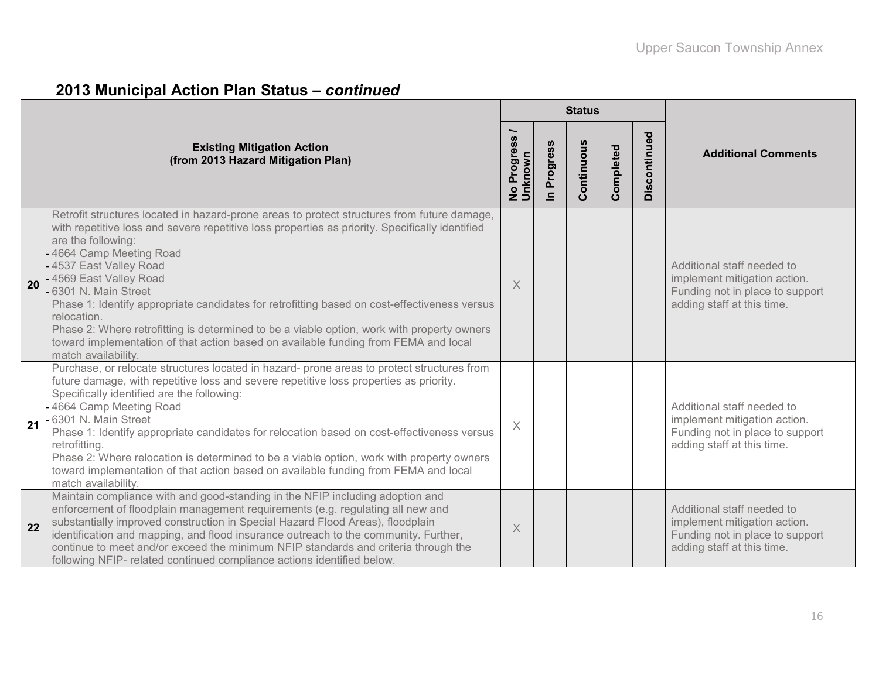# **2013 Municipal Action Plan Status –** *continued*

|    |                                                                                                                                                                                                                                                                                                                                                                                                                                                                                                                                                                                                                                                    |                                     |                      | <b>Status</b> |           |              |                                                                                                                             |
|----|----------------------------------------------------------------------------------------------------------------------------------------------------------------------------------------------------------------------------------------------------------------------------------------------------------------------------------------------------------------------------------------------------------------------------------------------------------------------------------------------------------------------------------------------------------------------------------------------------------------------------------------------------|-------------------------------------|----------------------|---------------|-----------|--------------|-----------------------------------------------------------------------------------------------------------------------------|
|    | <b>Existing Mitigation Action</b><br>(from 2013 Hazard Mitigation Plan)                                                                                                                                                                                                                                                                                                                                                                                                                                                                                                                                                                            | No Progress <sub>/</sub><br>Unknown | Progress<br>$\equiv$ | Continuous    | Completed | Discontinued | <b>Additional Comments</b>                                                                                                  |
| 20 | Retrofit structures located in hazard-prone areas to protect structures from future damage,<br>with repetitive loss and severe repetitive loss properties as priority. Specifically identified<br>are the following:<br>4664 Camp Meeting Road<br>4537 East Valley Road<br>4569 East Valley Road<br>6301 N. Main Street<br>Phase 1: Identify appropriate candidates for retrofitting based on cost-effectiveness versus<br>relocation.<br>Phase 2: Where retrofitting is determined to be a viable option, work with property owners<br>toward implementation of that action based on available funding from FEMA and local<br>match availability. | X                                   |                      |               |           |              | Additional staff needed to<br>implement mitigation action.<br>Funding not in place to support<br>adding staff at this time. |
| 21 | Purchase, or relocate structures located in hazard- prone areas to protect structures from<br>future damage, with repetitive loss and severe repetitive loss properties as priority.<br>Specifically identified are the following:<br>4664 Camp Meeting Road<br>6301 N. Main Street<br>Phase 1: Identify appropriate candidates for relocation based on cost-effectiveness versus<br>retrofitting.<br>Phase 2: Where relocation is determined to be a viable option, work with property owners<br>toward implementation of that action based on available funding from FEMA and local<br>match availability.                                       | $\times$                            |                      |               |           |              | Additional staff needed to<br>implement mitigation action.<br>Funding not in place to support<br>adding staff at this time. |
| 22 | Maintain compliance with and good-standing in the NFIP including adoption and<br>enforcement of floodplain management requirements (e.g. regulating all new and<br>substantially improved construction in Special Hazard Flood Areas), floodplain<br>identification and mapping, and flood insurance outreach to the community. Further,<br>continue to meet and/or exceed the minimum NFIP standards and criteria through the<br>following NFIP- related continued compliance actions identified below.                                                                                                                                           | Χ                                   |                      |               |           |              | Additional staff needed to<br>implement mitigation action.<br>Funding not in place to support<br>adding staff at this time. |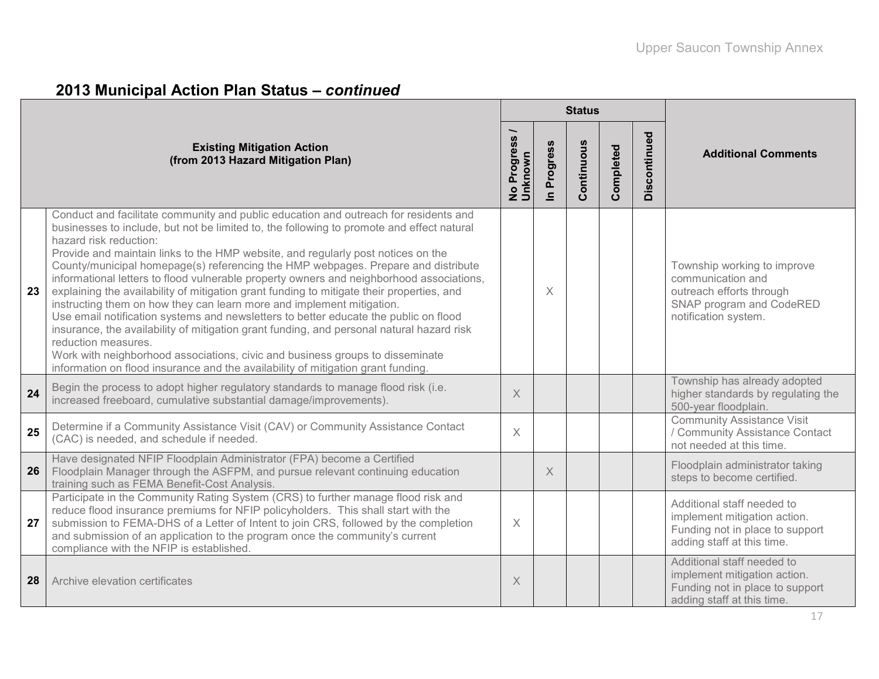### **2013 Municipal Action Plan Status –** *continued*

|    |                                                                                                                                                                                                                                                                                                                                                                                                                                                                                                                                                                                                                                                                                                                                                                                                                                                                                                                                                                                                                                         |                          |             | <b>Status</b> |           |              |                                                                                                                                  |
|----|-----------------------------------------------------------------------------------------------------------------------------------------------------------------------------------------------------------------------------------------------------------------------------------------------------------------------------------------------------------------------------------------------------------------------------------------------------------------------------------------------------------------------------------------------------------------------------------------------------------------------------------------------------------------------------------------------------------------------------------------------------------------------------------------------------------------------------------------------------------------------------------------------------------------------------------------------------------------------------------------------------------------------------------------|--------------------------|-------------|---------------|-----------|--------------|----------------------------------------------------------------------------------------------------------------------------------|
|    | <b>Existing Mitigation Action</b><br>(from 2013 Hazard Mitigation Plan)                                                                                                                                                                                                                                                                                                                                                                                                                                                                                                                                                                                                                                                                                                                                                                                                                                                                                                                                                                 | No Progress /<br>Unknown | In Progress | Continuous    | Completed | Discontinued | <b>Additional Comments</b>                                                                                                       |
| 23 | Conduct and facilitate community and public education and outreach for residents and<br>businesses to include, but not be limited to, the following to promote and effect natural<br>hazard risk reduction:<br>Provide and maintain links to the HMP website, and regularly post notices on the<br>County/municipal homepage(s) referencing the HMP webpages. Prepare and distribute<br>informational letters to flood vulnerable property owners and neighborhood associations,<br>explaining the availability of mitigation grant funding to mitigate their properties, and<br>instructing them on how they can learn more and implement mitigation.<br>Use email notification systems and newsletters to better educate the public on flood<br>insurance, the availability of mitigation grant funding, and personal natural hazard risk<br>reduction measures.<br>Work with neighborhood associations, civic and business groups to disseminate<br>information on flood insurance and the availability of mitigation grant funding. |                          | $\times$    |               |           |              | Township working to improve<br>communication and<br>outreach efforts through<br>SNAP program and CodeRED<br>notification system. |
| 24 | Begin the process to adopt higher regulatory standards to manage flood risk (i.e.<br>increased freeboard, cumulative substantial damage/improvements).                                                                                                                                                                                                                                                                                                                                                                                                                                                                                                                                                                                                                                                                                                                                                                                                                                                                                  | $\times$                 |             |               |           |              | Township has already adopted<br>higher standards by regulating the<br>500-year floodplain.                                       |
| 25 | Determine if a Community Assistance Visit (CAV) or Community Assistance Contact<br>(CAC) is needed, and schedule if needed.                                                                                                                                                                                                                                                                                                                                                                                                                                                                                                                                                                                                                                                                                                                                                                                                                                                                                                             | $\times$                 |             |               |           |              | <b>Community Assistance Visit</b><br>/ Community Assistance Contact<br>not needed at this time.                                  |
| 26 | Have designated NFIP Floodplain Administrator (FPA) become a Certified<br>Floodplain Manager through the ASFPM, and pursue relevant continuing education<br>training such as FEMA Benefit-Cost Analysis.                                                                                                                                                                                                                                                                                                                                                                                                                                                                                                                                                                                                                                                                                                                                                                                                                                |                          | $\times$    |               |           |              | Floodplain administrator taking<br>steps to become certified.                                                                    |
| 27 | Participate in the Community Rating System (CRS) to further manage flood risk and<br>reduce flood insurance premiums for NFIP policyholders. This shall start with the<br>submission to FEMA-DHS of a Letter of Intent to join CRS, followed by the completion<br>and submission of an application to the program once the community's current<br>compliance with the NFIP is established.                                                                                                                                                                                                                                                                                                                                                                                                                                                                                                                                                                                                                                              | X                        |             |               |           |              | Additional staff needed to<br>implement mitigation action.<br>Funding not in place to support<br>adding staff at this time.      |
| 28 | Archive elevation certificates                                                                                                                                                                                                                                                                                                                                                                                                                                                                                                                                                                                                                                                                                                                                                                                                                                                                                                                                                                                                          | $\mathsf X$              |             |               |           |              | Additional staff needed to<br>implement mitigation action.<br>Funding not in place to support<br>adding staff at this time.      |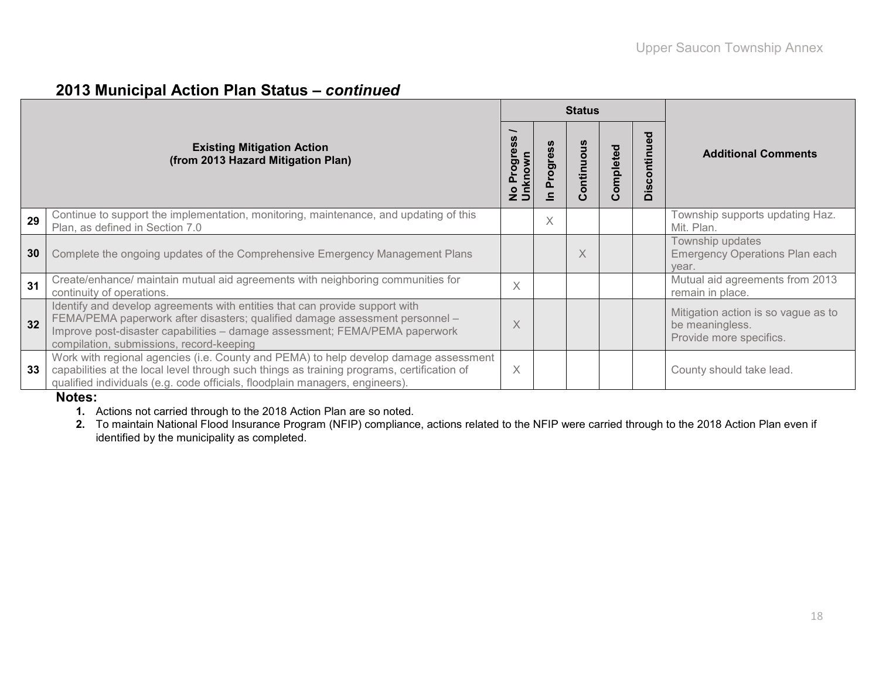#### **2013 Municipal Action Plan Status –** *continued*

|    |                                                                                                                                                                                                                                                                                        |                                             |                          | <b>Status</b>  |          |                                           |                                                                                   |
|----|----------------------------------------------------------------------------------------------------------------------------------------------------------------------------------------------------------------------------------------------------------------------------------------|---------------------------------------------|--------------------------|----------------|----------|-------------------------------------------|-----------------------------------------------------------------------------------|
|    | <b>Existing Mitigation Action</b><br>(from 2013 Hazard Mitigation Plan)                                                                                                                                                                                                                | Progres<br>No Progi <del>e</del><br>Unknown | Progress<br>$\mathbf{C}$ | us<br>Continuo | ompleted | ਠ<br>$\omega$<br>ntinu<br>$\circ$<br>Disc | <b>Additional Comments</b>                                                        |
| 29 | Continue to support the implementation, monitoring, maintenance, and updating of this<br>Plan, as defined in Section 7.0                                                                                                                                                               |                                             | X                        |                |          |                                           | Township supports updating Haz.<br>Mit. Plan.                                     |
| 30 | Complete the ongoing updates of the Comprehensive Emergency Management Plans                                                                                                                                                                                                           |                                             |                          | X              |          |                                           | Township updates<br><b>Emergency Operations Plan each</b><br>year.                |
| 31 | Create/enhance/ maintain mutual aid agreements with neighboring communities for<br>continuity of operations.                                                                                                                                                                           | Χ                                           |                          |                |          |                                           | Mutual aid agreements from 2013<br>remain in place.                               |
| 32 | Identify and develop agreements with entities that can provide support with<br>FEMA/PEMA paperwork after disasters; qualified damage assessment personnel -<br>Improve post-disaster capabilities - damage assessment; FEMA/PEMA paperwork<br>compilation, submissions, record-keeping | X                                           |                          |                |          |                                           | Mitigation action is so vague as to<br>be meaningless.<br>Provide more specifics. |
| 33 | Work with regional agencies (i.e. County and PEMA) to help develop damage assessment<br>capabilities at the local level through such things as training programs, certification of<br>qualified individuals (e.g. code officials, floodplain managers, engineers).<br>.                | X                                           |                          |                |          |                                           | County should take lead.                                                          |

#### **Notes:**

- **1.** Actions not carried through to the 2018 Action Plan are so noted.
- **2.** To maintain National Flood Insurance Program (NFIP) compliance, actions related to the NFIP were carried through to the 2018 Action Plan even if identified by the municipality as completed.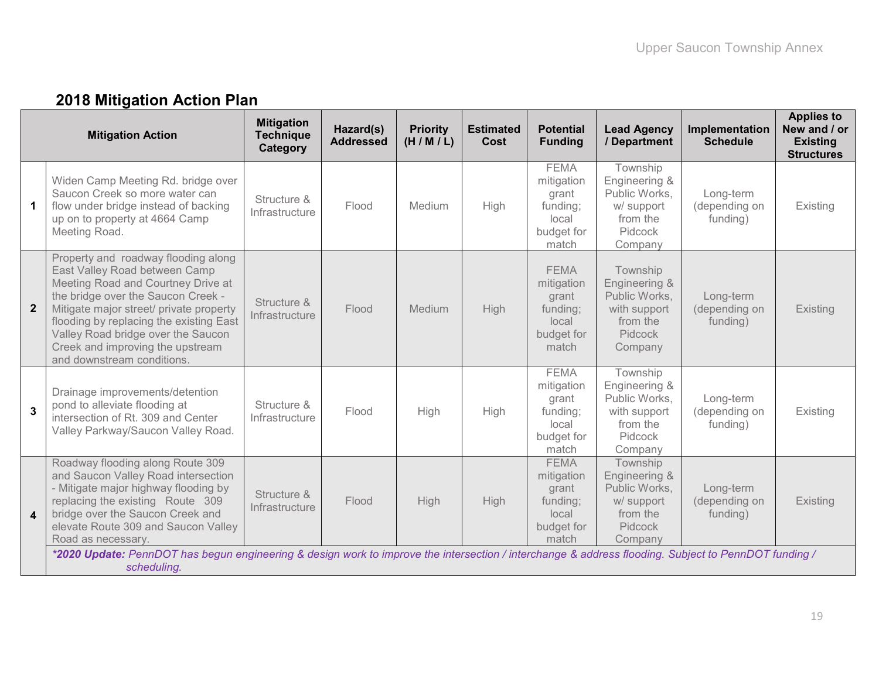# **2018 Mitigation Action Plan**

|                         | <b>Mitigation Action</b>                                                                                                                                                                                                                                                                                                                       | <b>Mitigation</b><br><b>Technique</b><br>Category | Hazard(s)<br><b>Addressed</b> | <b>Priority</b><br>(H/M/L) | <b>Estimated</b><br><b>Cost</b> | <b>Potential</b><br><b>Funding</b>                                             | <b>Lead Agency</b><br>/ Department                                                                  | Implementation<br><b>Schedule</b>      | <b>Applies to</b><br>New and / or<br><b>Existing</b><br><b>Structures</b> |
|-------------------------|------------------------------------------------------------------------------------------------------------------------------------------------------------------------------------------------------------------------------------------------------------------------------------------------------------------------------------------------|---------------------------------------------------|-------------------------------|----------------------------|---------------------------------|--------------------------------------------------------------------------------|-----------------------------------------------------------------------------------------------------|----------------------------------------|---------------------------------------------------------------------------|
| 1                       | Widen Camp Meeting Rd. bridge over<br>Saucon Creek so more water can<br>flow under bridge instead of backing<br>up on to property at 4664 Camp<br>Meeting Road.                                                                                                                                                                                | Structure &<br>Infrastructure                     | Flood                         | Medium                     | High                            | <b>FEMA</b><br>mitigation<br>grant<br>funding;<br>local<br>budget for<br>match | Township<br>Engineering &<br>Public Works.<br>w/ support<br>from the<br>Pidcock<br>Company          | Long-term<br>(depending on<br>funding) | Existing                                                                  |
| $\mathbf{2}$            | Property and roadway flooding along<br>East Valley Road between Camp<br>Meeting Road and Courtney Drive at<br>the bridge over the Saucon Creek -<br>Mitigate major street/ private property<br>flooding by replacing the existing East<br>Valley Road bridge over the Saucon<br>Creek and improving the upstream<br>and downstream conditions. | Structure &<br>Infrastructure                     | Flood                         | Medium                     | High                            | <b>FEMA</b><br>mitigation<br>grant<br>funding;<br>local<br>budget for<br>match | Township<br>Engineering &<br>Public Works,<br>with support<br>from the<br><b>Pidcock</b><br>Company | Long-term<br>(depending on<br>funding) | Existing                                                                  |
| 3                       | Drainage improvements/detention<br>pond to alleviate flooding at<br>intersection of Rt. 309 and Center<br>Valley Parkway/Saucon Valley Road.                                                                                                                                                                                                   | Structure &<br>Infrastructure                     | Flood                         | High                       | High                            | <b>FEMA</b><br>mitigation<br>grant<br>funding;<br>local<br>budget for<br>match | Township<br>Engineering &<br>Public Works,<br>with support<br>from the<br>Pidcock<br>Company        | Long-term<br>(depending on<br>funding) | Existing                                                                  |
| $\overline{\mathbf{4}}$ | Roadway flooding along Route 309<br>and Saucon Valley Road intersection<br>- Mitigate major highway flooding by<br>replacing the existing Route 309<br>bridge over the Saucon Creek and<br>elevate Route 309 and Saucon Valley<br>Road as necessary.                                                                                           | Structure &<br>Infrastructure                     | Flood                         | High                       | High                            | <b>FEMA</b><br>mitigation<br>grant<br>funding;<br>local<br>budget for<br>match | Township<br>Engineering &<br>Public Works,<br>w/ support<br>from the<br><b>Pidcock</b><br>Company   | Long-term<br>(depending on<br>funding) | <b>Existing</b>                                                           |
|                         | *2020 Update: PennDOT has begun engineering & design work to improve the intersection / interchange & address flooding. Subject to PennDOT funding /<br>scheduling.                                                                                                                                                                            |                                                   |                               |                            |                                 |                                                                                |                                                                                                     |                                        |                                                                           |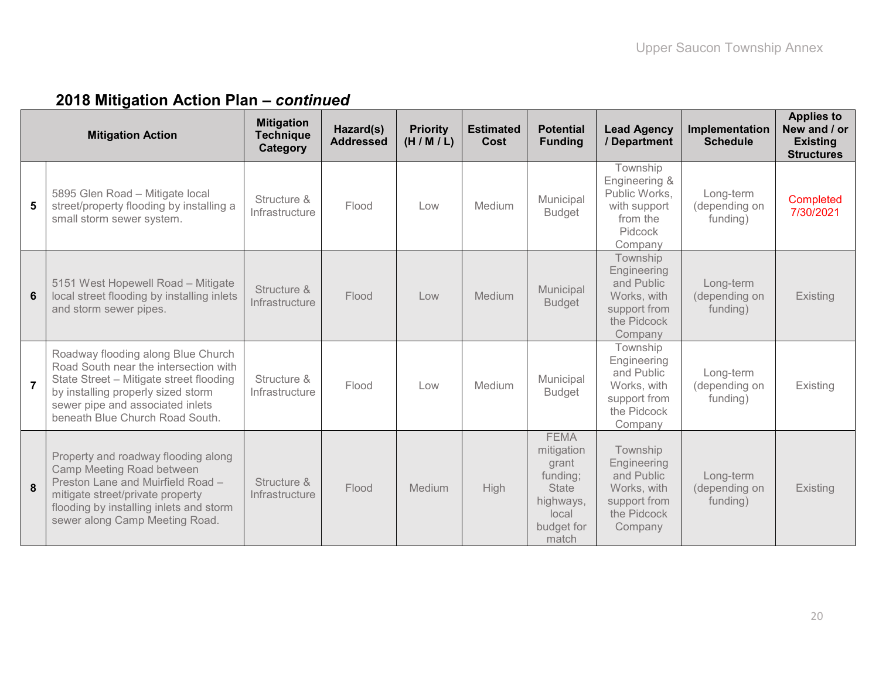|                  | <b>Mitigation Action</b>                                                                                                                                                                                                            | <b>Mitigation</b><br><b>Technique</b><br><b>Category</b> | Hazard(s)<br><b>Addressed</b> | <b>Priority</b><br>(H/M/L) | <b>Estimated</b><br>Cost | <b>Potential</b><br><b>Funding</b>                                                                          | <b>Lead Agency</b><br>/ Department                                                             | Implementation<br><b>Schedule</b>      | <b>Applies to</b><br>New and / or<br><b>Existing</b><br><b>Structures</b> |
|------------------|-------------------------------------------------------------------------------------------------------------------------------------------------------------------------------------------------------------------------------------|----------------------------------------------------------|-------------------------------|----------------------------|--------------------------|-------------------------------------------------------------------------------------------------------------|------------------------------------------------------------------------------------------------|----------------------------------------|---------------------------------------------------------------------------|
| 5                | 5895 Glen Road - Mitigate local<br>street/property flooding by installing a<br>small storm sewer system.                                                                                                                            | Structure &<br>Infrastructure                            | Flood                         | Low                        | Medium                   | Municipal<br><b>Budget</b>                                                                                  | Township<br>Engineering &<br>Public Works,<br>with support<br>from the<br>Pidcock<br>Company   | Long-term<br>(depending on<br>funding) | Completed<br>7/30/2021                                                    |
| $\boldsymbol{6}$ | 5151 West Hopewell Road - Mitigate<br>local street flooding by installing inlets<br>and storm sewer pipes.                                                                                                                          | Structure &<br>Infrastructure                            | Flood                         | Low                        | Medium                   | Municipal<br><b>Budget</b>                                                                                  | Township<br>Engineering<br>and Public<br>Works, with<br>support from<br>the Pidcock<br>Company | Long-term<br>(depending on<br>funding) | Existing                                                                  |
| $\overline{7}$   | Roadway flooding along Blue Church<br>Road South near the intersection with<br>State Street - Mitigate street flooding<br>by installing properly sized storm<br>sewer pipe and associated inlets<br>beneath Blue Church Road South. | Structure &<br>Infrastructure                            | Flood                         | Low                        | Medium                   | Municipal<br><b>Budget</b>                                                                                  | Township<br>Engineering<br>and Public<br>Works, with<br>support from<br>the Pidcock<br>Company | Long-term<br>(depending on<br>funding) | Existing                                                                  |
| 8                | Property and roadway flooding along<br>Camp Meeting Road between<br>Preston Lane and Muirfield Road -<br>mitigate street/private property<br>flooding by installing inlets and storm<br>sewer along Camp Meeting Road.              | Structure &<br>Infrastructure                            | Flood                         | Medium                     | High                     | <b>FEMA</b><br>mitigation<br>grant<br>funding;<br><b>State</b><br>highways,<br>local<br>budget for<br>match | Township<br>Engineering<br>and Public<br>Works, with<br>support from<br>the Pidcock<br>Company | Long-term<br>(depending on<br>funding) | Existing                                                                  |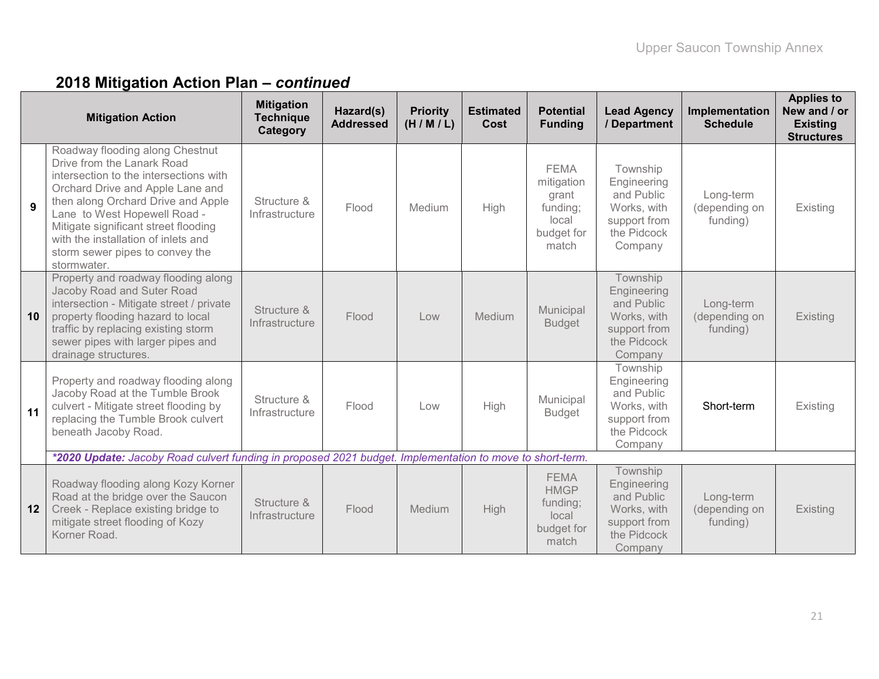|    | <b>Mitigation Action</b>                                                                                                                                                                                                                                                                                                                           | <b>Mitigation</b><br><b>Technique</b><br>Category | Hazard(s)<br><b>Addressed</b> | <b>Priority</b><br>(H/M/L) | <b>Estimated</b><br>Cost | <b>Potential</b><br><b>Funding</b>                                             | <b>Lead Agency</b><br>/ Department                                                             | Implementation<br><b>Schedule</b>      | <b>Applies to</b><br>New and / or<br><b>Existing</b><br><b>Structures</b> |
|----|----------------------------------------------------------------------------------------------------------------------------------------------------------------------------------------------------------------------------------------------------------------------------------------------------------------------------------------------------|---------------------------------------------------|-------------------------------|----------------------------|--------------------------|--------------------------------------------------------------------------------|------------------------------------------------------------------------------------------------|----------------------------------------|---------------------------------------------------------------------------|
| 9  | Roadway flooding along Chestnut<br>Drive from the Lanark Road<br>intersection to the intersections with<br>Orchard Drive and Apple Lane and<br>then along Orchard Drive and Apple<br>Lane to West Hopewell Road -<br>Mitigate significant street flooding<br>with the installation of inlets and<br>storm sewer pipes to convey the<br>stormwater. | Structure &<br>Infrastructure                     | Flood                         | Medium                     | High                     | <b>FEMA</b><br>mitigation<br>grant<br>funding;<br>local<br>budget for<br>match | Township<br>Engineering<br>and Public<br>Works, with<br>support from<br>the Pidcock<br>Company | Long-term<br>(depending on<br>funding) | Existing                                                                  |
| 10 | Property and roadway flooding along<br>Jacoby Road and Suter Road<br>intersection - Mitigate street / private<br>property flooding hazard to local<br>traffic by replacing existing storm<br>sewer pipes with larger pipes and<br>drainage structures.                                                                                             | Structure &<br>Infrastructure                     | Flood                         | Low                        | Medium                   | Municipal<br><b>Budget</b>                                                     | Township<br>Engineering<br>and Public<br>Works, with<br>support from<br>the Pidcock<br>Company | Long-term<br>(depending on<br>funding) | Existing                                                                  |
| 11 | Property and roadway flooding along<br>Jacoby Road at the Tumble Brook<br>culvert - Mitigate street flooding by<br>replacing the Tumble Brook culvert<br>beneath Jacoby Road.                                                                                                                                                                      | Structure &<br>Infrastructure                     | Flood                         | Low                        | High                     | Municipal<br><b>Budget</b>                                                     | Township<br>Engineering<br>and Public<br>Works, with<br>support from<br>the Pidcock<br>Company | Short-term                             | Existing                                                                  |
|    | *2020 Update: Jacoby Road culvert funding in proposed 2021 budget. Implementation to move to short-term.                                                                                                                                                                                                                                           |                                                   |                               |                            |                          |                                                                                |                                                                                                |                                        |                                                                           |
| 12 | Roadway flooding along Kozy Korner<br>Road at the bridge over the Saucon<br>Creek - Replace existing bridge to<br>mitigate street flooding of Kozy<br>Korner Road.                                                                                                                                                                                 | Structure &<br>Infrastructure                     | Flood                         | Medium                     | High                     | <b>FEMA</b><br><b>HMGP</b><br>funding;<br>local<br>budget for<br>match         | Township<br>Engineering<br>and Public<br>Works, with<br>support from<br>the Pidcock<br>Company | Long-term<br>(depending on<br>funding) | Existing                                                                  |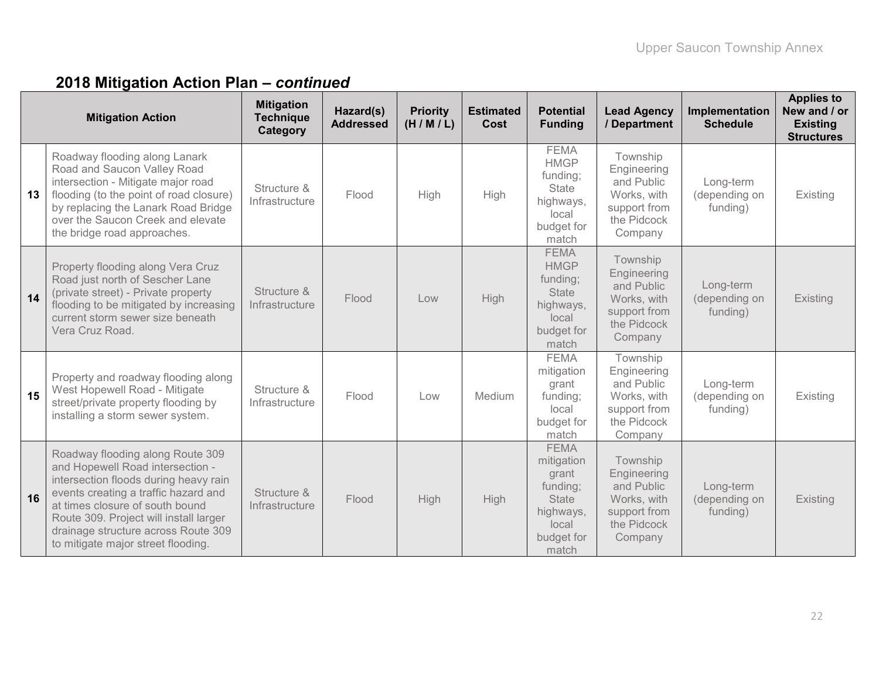|    | <b>Mitigation Action</b>                                                                                                                                                                                                                                                                                        | <b>Mitigation</b><br><b>Technique</b><br>Category | Hazard(s)<br><b>Addressed</b> | <b>Priority</b><br>(H/M/L) | <b>Estimated</b><br>Cost | <b>Potential</b><br><b>Funding</b>                                                                          | <b>Lead Agency</b><br>/ Department                                                             | Implementation<br><b>Schedule</b>      | <b>Applies to</b><br>New and / or<br><b>Existing</b><br><b>Structures</b> |
|----|-----------------------------------------------------------------------------------------------------------------------------------------------------------------------------------------------------------------------------------------------------------------------------------------------------------------|---------------------------------------------------|-------------------------------|----------------------------|--------------------------|-------------------------------------------------------------------------------------------------------------|------------------------------------------------------------------------------------------------|----------------------------------------|---------------------------------------------------------------------------|
| 13 | Roadway flooding along Lanark<br>Road and Saucon Valley Road<br>intersection - Mitigate major road<br>flooding (to the point of road closure)<br>by replacing the Lanark Road Bridge<br>over the Saucon Creek and elevate<br>the bridge road approaches.                                                        | Structure &<br>Infrastructure                     | Flood                         | High                       | <b>High</b>              | <b>FEMA</b><br><b>HMGP</b><br>funding;<br>State<br>highways,<br>local<br>budget for<br>match                | Township<br>Engineering<br>and Public<br>Works, with<br>support from<br>the Pidcock<br>Company | Long-term<br>(depending on<br>funding) | Existing                                                                  |
| 14 | Property flooding along Vera Cruz<br>Road just north of Sescher Lane<br>(private street) - Private property<br>flooding to be mitigated by increasing<br>current storm sewer size beneath<br>Vera Cruz Road.                                                                                                    | Structure &<br>Infrastructure                     | Flood                         | Low                        | High                     | <b>FEMA</b><br><b>HMGP</b><br>funding;<br><b>State</b><br>highways,<br>local<br>budget for<br>match         | Township<br>Engineering<br>and Public<br>Works, with<br>support from<br>the Pidcock<br>Company | Long-term<br>(depending on<br>funding) | Existing                                                                  |
| 15 | Property and roadway flooding along<br>West Hopewell Road - Mitigate<br>street/private property flooding by<br>installing a storm sewer system.                                                                                                                                                                 | Structure &<br>Infrastructure                     | Flood                         | Low                        | Medium                   | <b>FEMA</b><br>mitigation<br>grant<br>funding;<br>local<br>budget for<br>match                              | Township<br>Engineering<br>and Public<br>Works, with<br>support from<br>the Pidcock<br>Company | Long-term<br>(depending on<br>funding) | Existing                                                                  |
| 16 | Roadway flooding along Route 309<br>and Hopewell Road intersection -<br>intersection floods during heavy rain<br>events creating a traffic hazard and<br>at times closure of south bound<br>Route 309. Project will install larger<br>drainage structure across Route 309<br>to mitigate major street flooding. | Structure &<br>Infrastructure                     | Flood                         | <b>High</b>                | High                     | <b>FEMA</b><br>mitigation<br>grant<br>funding;<br><b>State</b><br>highways,<br>local<br>budget for<br>match | Township<br>Engineering<br>and Public<br>Works, with<br>support from<br>the Pidcock<br>Company | Long-term<br>(depending on<br>funding) | Existing                                                                  |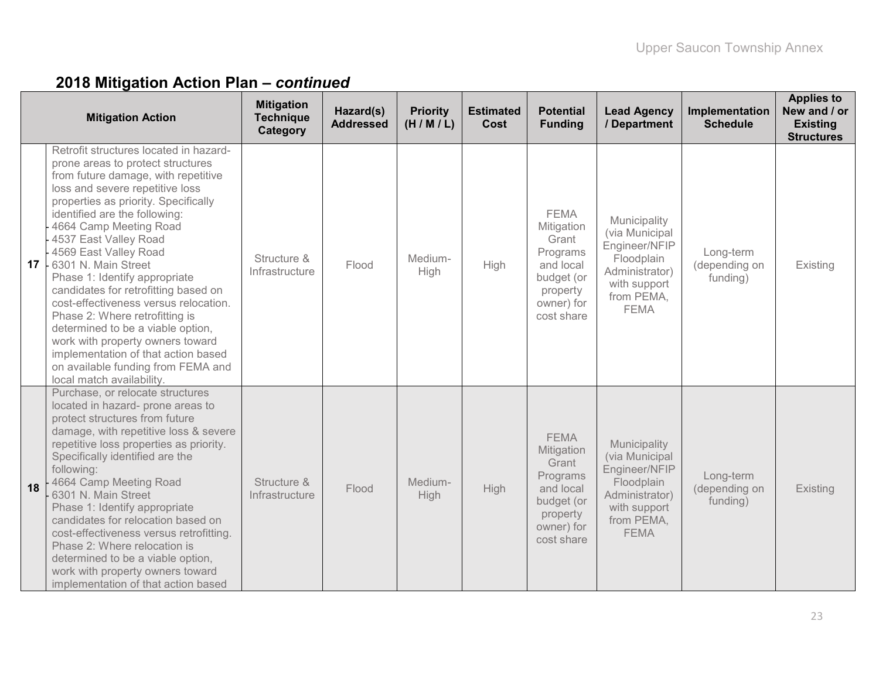|                 | <b>Mitigation Action</b>                                                                                                                                                                                                                                                                                                                                                                                                                                                                                                                                                                                                                                                 | <b>Mitigation</b><br><b>Technique</b><br>Category | Hazard(s)<br><b>Addressed</b> | <b>Priority</b><br>(H/M/L) | <b>Estimated</b><br><b>Cost</b> | <b>Potential</b><br><b>Funding</b>                                                                                | <b>Lead Agency</b><br>/ Department                                                                                           | Implementation<br><b>Schedule</b>      | <b>Applies to</b><br>New and / or<br><b>Existing</b><br><b>Structures</b> |
|-----------------|--------------------------------------------------------------------------------------------------------------------------------------------------------------------------------------------------------------------------------------------------------------------------------------------------------------------------------------------------------------------------------------------------------------------------------------------------------------------------------------------------------------------------------------------------------------------------------------------------------------------------------------------------------------------------|---------------------------------------------------|-------------------------------|----------------------------|---------------------------------|-------------------------------------------------------------------------------------------------------------------|------------------------------------------------------------------------------------------------------------------------------|----------------------------------------|---------------------------------------------------------------------------|
| 17 <sup>1</sup> | Retrofit structures located in hazard-<br>prone areas to protect structures<br>from future damage, with repetitive<br>loss and severe repetitive loss<br>properties as priority. Specifically<br>identified are the following:<br>4664 Camp Meeting Road<br>4537 East Valley Road<br>4569 East Valley Road<br>6301 N. Main Street<br>Phase 1: Identify appropriate<br>candidates for retrofitting based on<br>cost-effectiveness versus relocation.<br>Phase 2: Where retrofitting is<br>determined to be a viable option,<br>work with property owners toward<br>implementation of that action based<br>on available funding from FEMA and<br>local match availability. | Structure &<br>Infrastructure                     | Flood                         | Medium-<br>High            | High                            | <b>FEMA</b><br>Mitigation<br>Grant<br>Programs<br>and local<br>budget (or<br>property<br>owner) for<br>cost share | Municipality<br>(via Municipal<br>Engineer/NFIP<br>Floodplain<br>Administrator)<br>with support<br>from PEMA,<br><b>FEMA</b> | Long-term<br>(depending on<br>funding) | Existing                                                                  |
| 18              | Purchase, or relocate structures<br>located in hazard- prone areas to<br>protect structures from future<br>damage, with repetitive loss & severe<br>repetitive loss properties as priority.<br>Specifically identified are the<br>following:<br>4664 Camp Meeting Road<br>6301 N. Main Street<br>Phase 1: Identify appropriate<br>candidates for relocation based on<br>cost-effectiveness versus retrofitting.<br>Phase 2: Where relocation is<br>determined to be a viable option,<br>work with property owners toward<br>implementation of that action based                                                                                                          | Structure &<br>Infrastructure                     | Flood                         | Medium-<br>High            | <b>High</b>                     | <b>FEMA</b><br>Mitigation<br>Grant<br>Programs<br>and local<br>budget (or<br>property<br>owner) for<br>cost share | Municipality<br>(via Municipal<br>Engineer/NFIP<br>Floodplain<br>Administrator)<br>with support<br>from PEMA,<br><b>FEMA</b> | Long-term<br>(depending on<br>funding) | Existing                                                                  |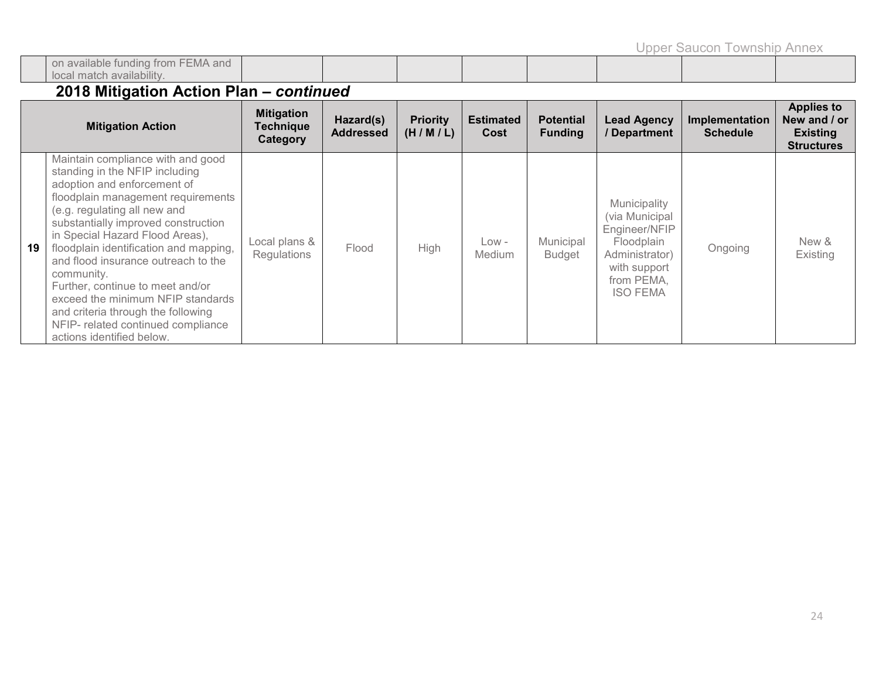Upper Saucon Township Annex

| i available funding from<br><b>FEMA</b> and<br>-UI |  |  |  |  |
|----------------------------------------------------|--|--|--|--|
| ı availability.<br>match                           |  |  |  |  |

|    | <b>Mitigation Action</b>                                                                                                                                                                                                                                                                                                                                                                                                                                                                                                            | <b>Mitigation</b><br><b>Technique</b><br>Category | Hazard(s)<br><b>Addressed</b> | <b>Priority</b><br>(H/M/L) | <b>Estimated</b><br>Cost | <b>Potential</b><br><b>Funding</b> | <b>Lead Agency</b><br>/ Department                                                                                               | <b>Implementation</b><br><b>Schedule</b> | <b>Applies to</b><br>New and / or<br><b>Existing</b><br><b>Structures</b> |
|----|-------------------------------------------------------------------------------------------------------------------------------------------------------------------------------------------------------------------------------------------------------------------------------------------------------------------------------------------------------------------------------------------------------------------------------------------------------------------------------------------------------------------------------------|---------------------------------------------------|-------------------------------|----------------------------|--------------------------|------------------------------------|----------------------------------------------------------------------------------------------------------------------------------|------------------------------------------|---------------------------------------------------------------------------|
| 19 | Maintain compliance with and good<br>standing in the NFIP including<br>adoption and enforcement of<br>floodplain management requirements<br>(e.g. regulating all new and<br>substantially improved construction<br>in Special Hazard Flood Areas),<br>floodplain identification and mapping,<br>and flood insurance outreach to the<br>community.<br>Further, continue to meet and/or<br>exceed the minimum NFIP standards<br>and criteria through the following<br>NFIP- related continued compliance<br>actions identified below. | Local plans &<br>Regulations                      | Flood                         | High                       | Low -<br>Medium          | Municipal<br><b>Budget</b>         | Municipality<br>(via Municipal<br>Engineer/NFIP<br>Floodplain<br>Administrator)<br>with support<br>from PEMA,<br><b>ISO FEMA</b> | Ongoing                                  | New &<br>Existing                                                         |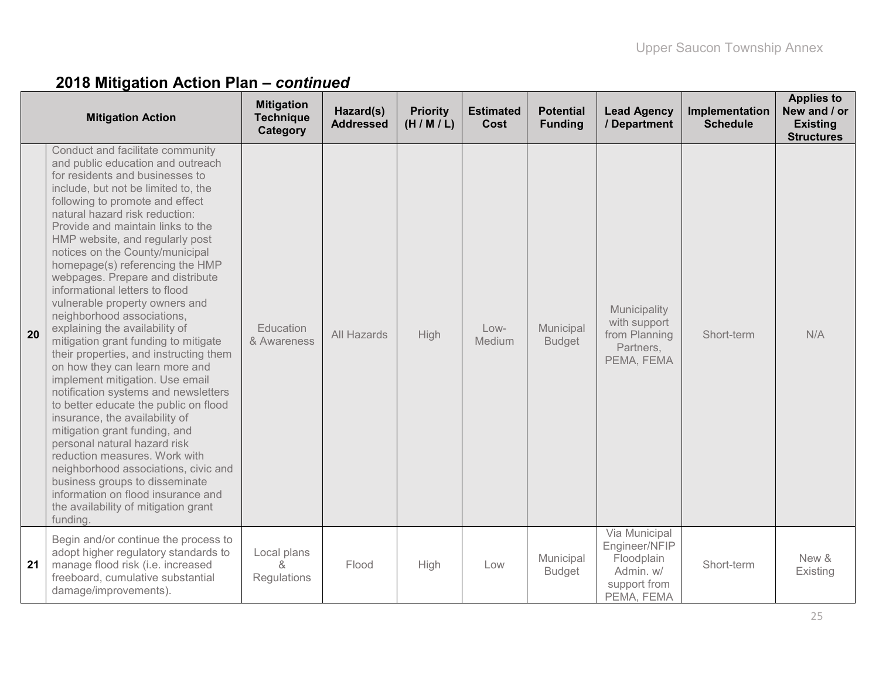|    | <b>Mitigation Action</b>                                                                                                                                                                                                                                                                                                                                                                                                                                                                                                                                                                                                                                                                                                                                                                                                                                                                                                                                                                                                                                                                  | <b>Mitigation</b><br><b>Technique</b><br>Category | Hazard(s)<br><b>Addressed</b> | <b>Priority</b><br>(H/M/L) | <b>Estimated</b><br>Cost | <b>Potential</b><br><b>Funding</b> | <b>Lead Agency</b><br>/ Department                                                      | Implementation<br><b>Schedule</b> | <b>Applies to</b><br>New and / or<br><b>Existing</b><br><b>Structures</b> |
|----|-------------------------------------------------------------------------------------------------------------------------------------------------------------------------------------------------------------------------------------------------------------------------------------------------------------------------------------------------------------------------------------------------------------------------------------------------------------------------------------------------------------------------------------------------------------------------------------------------------------------------------------------------------------------------------------------------------------------------------------------------------------------------------------------------------------------------------------------------------------------------------------------------------------------------------------------------------------------------------------------------------------------------------------------------------------------------------------------|---------------------------------------------------|-------------------------------|----------------------------|--------------------------|------------------------------------|-----------------------------------------------------------------------------------------|-----------------------------------|---------------------------------------------------------------------------|
| 20 | Conduct and facilitate community<br>and public education and outreach<br>for residents and businesses to<br>include, but not be limited to, the<br>following to promote and effect<br>natural hazard risk reduction:<br>Provide and maintain links to the<br>HMP website, and regularly post<br>notices on the County/municipal<br>homepage(s) referencing the HMP<br>webpages. Prepare and distribute<br>informational letters to flood<br>vulnerable property owners and<br>neighborhood associations,<br>explaining the availability of<br>mitigation grant funding to mitigate<br>their properties, and instructing them<br>on how they can learn more and<br>implement mitigation. Use email<br>notification systems and newsletters<br>to better educate the public on flood<br>insurance, the availability of<br>mitigation grant funding, and<br>personal natural hazard risk<br>reduction measures. Work with<br>neighborhood associations, civic and<br>business groups to disseminate<br>information on flood insurance and<br>the availability of mitigation grant<br>funding | Education<br>& Awareness                          | All Hazards                   | High                       | $Low-$<br>Medium         | Municipal<br><b>Budget</b>         | Municipality<br>with support<br>from Planning<br>Partners,<br>PEMA, FEMA                | Short-term                        | N/A                                                                       |
| 21 | Begin and/or continue the process to<br>adopt higher regulatory standards to<br>manage flood risk (i.e. increased<br>freeboard, cumulative substantial<br>damage/improvements).                                                                                                                                                                                                                                                                                                                                                                                                                                                                                                                                                                                                                                                                                                                                                                                                                                                                                                           | Local plans<br>ጼ<br>Regulations                   | Flood                         | High                       | Low                      | Municipal<br><b>Budget</b>         | Via Municipal<br>Engineer/NFIP<br>Floodplain<br>Admin. w/<br>support from<br>PEMA, FEMA | Short-term                        | New &<br>Existing                                                         |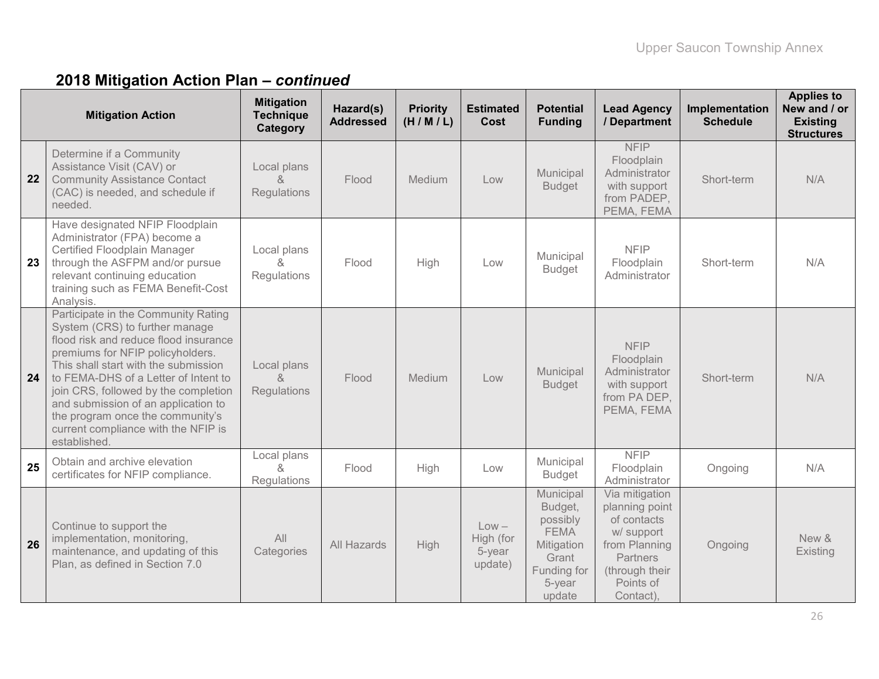|    | <b>Mitigation Action</b>                                                                                                                                                                                                                                                                                                                                                                                     | <b>Mitigation</b><br><b>Technique</b><br>Category | Hazard(s)<br><b>Addressed</b> | <b>Priority</b><br>(H/M/L) | <b>Estimated</b><br>Cost                  | <b>Potential</b><br><b>Funding</b>                                                                        | <b>Lead Agency</b><br>/ Department                                                                                                     | Implementation<br><b>Schedule</b> | <b>Applies to</b><br>New and / or<br><b>Existing</b><br><b>Structures</b> |
|----|--------------------------------------------------------------------------------------------------------------------------------------------------------------------------------------------------------------------------------------------------------------------------------------------------------------------------------------------------------------------------------------------------------------|---------------------------------------------------|-------------------------------|----------------------------|-------------------------------------------|-----------------------------------------------------------------------------------------------------------|----------------------------------------------------------------------------------------------------------------------------------------|-----------------------------------|---------------------------------------------------------------------------|
| 22 | Determine if a Community<br>Assistance Visit (CAV) or<br><b>Community Assistance Contact</b><br>(CAC) is needed, and schedule if<br>needed.                                                                                                                                                                                                                                                                  | Local plans<br><sub>R</sub><br>Regulations        | Flood                         | Medium                     | Low                                       | Municipal<br><b>Budget</b>                                                                                | <b>NFIP</b><br>Floodplain<br>Administrator<br>with support<br>from PADEP,<br>PEMA, FEMA                                                | Short-term                        | N/A                                                                       |
| 23 | Have designated NFIP Floodplain<br>Administrator (FPA) become a<br>Certified Floodplain Manager<br>through the ASFPM and/or pursue<br>relevant continuing education<br>training such as FEMA Benefit-Cost<br>Analysis.                                                                                                                                                                                       | Local plans<br>8<br>Regulations                   | Flood                         | High                       | Low                                       | Municipal<br><b>Budget</b>                                                                                | <b>NFIP</b><br>Floodplain<br>Administrator                                                                                             | Short-term                        | N/A                                                                       |
| 24 | Participate in the Community Rating<br>System (CRS) to further manage<br>flood risk and reduce flood insurance<br>premiums for NFIP policyholders.<br>This shall start with the submission<br>to FEMA-DHS of a Letter of Intent to<br>join CRS, followed by the completion<br>and submission of an application to<br>the program once the community's<br>current compliance with the NFIP is<br>established. | Local plans<br>$\delta$<br>Regulations            | Flood                         | Medium                     | Low                                       | Municipal<br><b>Budget</b>                                                                                | <b>NFIP</b><br>Floodplain<br>Administrator<br>with support<br>from PA DEP,<br>PEMA, FEMA                                               | Short-term                        | N/A                                                                       |
| 25 | Obtain and archive elevation<br>certificates for NFIP compliance.                                                                                                                                                                                                                                                                                                                                            | Local plans<br>&<br>Regulations                   | Flood                         | High                       | Low                                       | Municipal<br><b>Budget</b>                                                                                | <b>NFIP</b><br>Floodplain<br>Administrator                                                                                             | Ongoing                           | N/A                                                                       |
| 26 | Continue to support the<br>implementation, monitoring,<br>maintenance, and updating of this<br>Plan, as defined in Section 7.0                                                                                                                                                                                                                                                                               | All<br>Categories                                 | All Hazards                   | High                       | $Low -$<br>High (for<br>5-year<br>update) | Municipal<br>Budget,<br>possibly<br><b>FEMA</b><br>Mitigation<br>Grant<br>Funding for<br>5-year<br>update | Via mitigation<br>planning point<br>of contacts<br>w/ support<br>from Planning<br>Partners<br>(through their<br>Points of<br>Contact). | Ongoing                           | New &<br>Existing                                                         |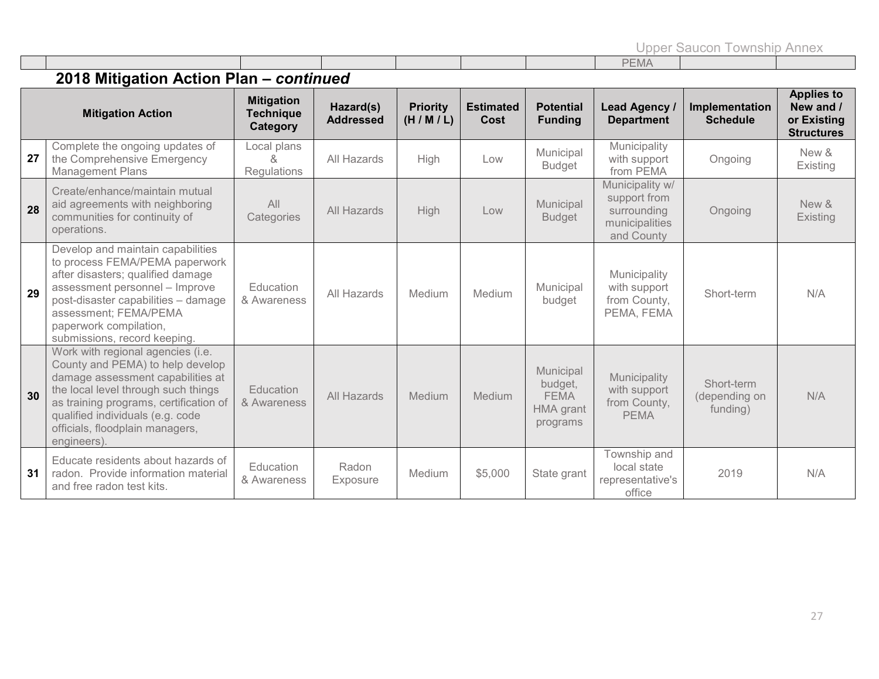Upper Saucon Township Annex

|  |  |  |  |  |       | $\frac{1}{2} \left( \frac{1}{2} \right) \left( \frac{1}{2} \right) \left( \frac{1}{2} \right) \left( \frac{1}{2} \right) \left( \frac{1}{2} \right) \left( \frac{1}{2} \right) \left( \frac{1}{2} \right) \left( \frac{1}{2} \right) \left( \frac{1}{2} \right) \left( \frac{1}{2} \right) \left( \frac{1}{2} \right) \left( \frac{1}{2} \right) \left( \frac{1}{2} \right) \left( \frac{1}{2} \right) \left( \frac{1}{2} \right) \left( \frac{1}{2} \right) \left( \frac$ |  |  |  |
|--|--|--|--|--|-------|----------------------------------------------------------------------------------------------------------------------------------------------------------------------------------------------------------------------------------------------------------------------------------------------------------------------------------------------------------------------------------------------------------------------------------------------------------------------------|--|--|--|
|  |  |  |  |  | EIVIA |                                                                                                                                                                                                                                                                                                                                                                                                                                                                            |  |  |  |
|  |  |  |  |  |       |                                                                                                                                                                                                                                                                                                                                                                                                                                                                            |  |  |  |

|    | <b>Mitigation Action</b>                                                                                                                                                                                                                                                          | <b>Mitigation</b><br><b>Technique</b><br>Category | Hazard(s)<br><b>Addressed</b> | <b>Priority</b><br>(H/M/L) | <b>Estimated</b><br>Cost | <b>Potential</b><br><b>Funding</b>                                  | Lead Agency /<br><b>Department</b>                                             | Implementation<br><b>Schedule</b>       | <b>Applies to</b><br>New and /<br>or Existing<br><b>Structures</b> |
|----|-----------------------------------------------------------------------------------------------------------------------------------------------------------------------------------------------------------------------------------------------------------------------------------|---------------------------------------------------|-------------------------------|----------------------------|--------------------------|---------------------------------------------------------------------|--------------------------------------------------------------------------------|-----------------------------------------|--------------------------------------------------------------------|
| 27 | Complete the ongoing updates of<br>the Comprehensive Emergency<br><b>Management Plans</b>                                                                                                                                                                                         | Local plans<br>Regulations                        | All Hazards                   | High                       | Low                      | Municipal<br><b>Budget</b>                                          | Municipality<br>with support<br>from PEMA                                      | Ongoing                                 | New &<br>Existing                                                  |
| 28 | Create/enhance/maintain mutual<br>aid agreements with neighboring<br>communities for continuity of<br>operations.                                                                                                                                                                 | All<br>Categories                                 | All Hazards                   | High                       | Low                      | Municipal<br><b>Budget</b>                                          | Municipality w/<br>support from<br>surrounding<br>municipalities<br>and County | Ongoing                                 | New &<br>Existing                                                  |
| 29 | Develop and maintain capabilities<br>to process FEMA/PEMA paperwork<br>after disasters; qualified damage<br>assessment personnel - Improve<br>post-disaster capabilities - damage<br>assessment; FEMA/PEMA<br>paperwork compilation,<br>submissions, record keeping.              | Education<br>& Awareness                          | All Hazards                   | Medium                     | Medium                   | Municipal<br>budget                                                 | Municipality<br>with support<br>from County,<br>PEMA, FEMA                     | Short-term                              | N/A                                                                |
| 30 | Work with regional agencies (i.e.<br>County and PEMA) to help develop<br>damage assessment capabilities at<br>the local level through such things<br>as training programs, certification of<br>qualified individuals (e.g. code<br>officials, floodplain managers,<br>engineers). | Education<br>& Awareness                          | <b>All Hazards</b>            | Medium                     | Medium                   | Municipal<br>budget,<br><b>FEMA</b><br><b>HMA</b> grant<br>programs | Municipality<br>with support<br>from County,<br><b>PEMA</b>                    | Short-term<br>(depending on<br>funding) | N/A                                                                |
| 31 | Educate residents about hazards of<br>radon. Provide information material<br>and free radon test kits.                                                                                                                                                                            | Education<br>& Awareness                          | Radon<br><b>Exposure</b>      | Medium                     | \$5,000                  | State grant                                                         | Township and<br>local state<br>representative's<br>office                      | 2019                                    | N/A                                                                |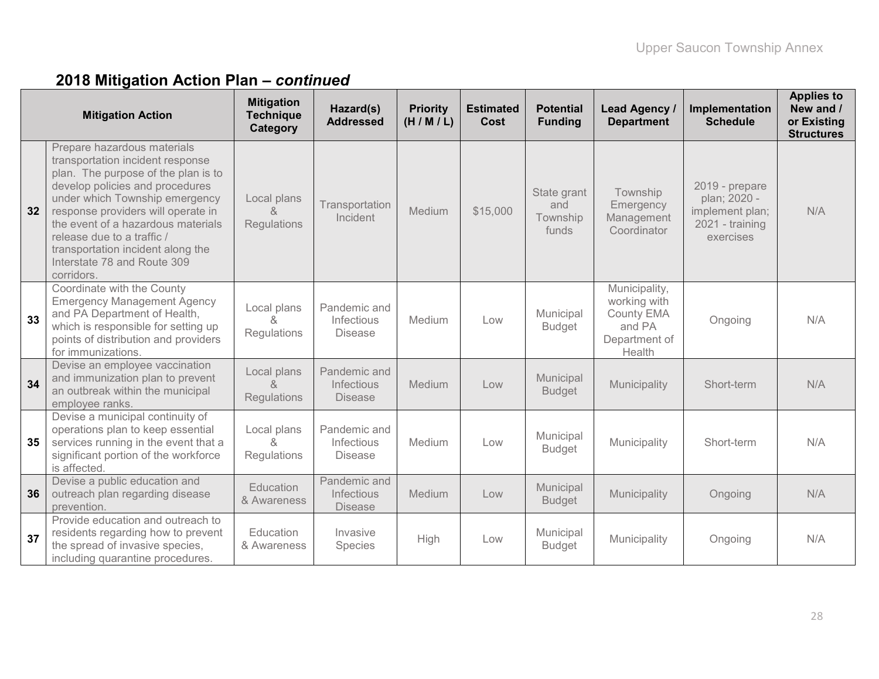| <b>Mitigation Action</b> |                                                                                                                                                                                                                                                                                                                                                                         | <b>Mitigation</b><br><b>Technique</b><br>Category        | Hazard(s)<br><b>Addressed</b>                | <b>Priority</b><br>(H/M/L) | <b>Estimated</b><br>Cost | <b>Potential</b><br><b>Funding</b>      | Lead Agency /<br><b>Department</b>                                                      | Implementation<br><b>Schedule</b>                                                 | <b>Applies to</b><br>New and /<br>or Existing<br><b>Structures</b> |
|--------------------------|-------------------------------------------------------------------------------------------------------------------------------------------------------------------------------------------------------------------------------------------------------------------------------------------------------------------------------------------------------------------------|----------------------------------------------------------|----------------------------------------------|----------------------------|--------------------------|-----------------------------------------|-----------------------------------------------------------------------------------------|-----------------------------------------------------------------------------------|--------------------------------------------------------------------|
| 32                       | Prepare hazardous materials<br>transportation incident response<br>plan. The purpose of the plan is to<br>develop policies and procedures<br>under which Township emergency<br>response providers will operate in<br>the event of a hazardous materials<br>release due to a traffic /<br>transportation incident along the<br>Interstate 78 and Route 309<br>corridors. | Local plans<br>Regulations                               | Transportation<br>Incident                   | Medium                     | \$15,000                 | State grant<br>and<br>Township<br>funds | Township<br>Emergency<br>Management<br>Coordinator                                      | 2019 - prepare<br>plan; 2020 -<br>implement plan;<br>2021 - training<br>exercises | N/A                                                                |
| 33                       | Coordinate with the County<br><b>Emergency Management Agency</b><br>and PA Department of Health,<br>which is responsible for setting up<br>points of distribution and providers<br>for immunizations.                                                                                                                                                                   | Local plans<br>$\mathcal{R}_{\mathbf{z}}$<br>Regulations | Pandemic and<br>Infectious<br><b>Disease</b> | Medium                     | Low                      | Municipal<br><b>Budget</b>              | Municipality,<br>working with<br><b>County EMA</b><br>and PA<br>Department of<br>Health | Ongoing                                                                           | N/A                                                                |
| 34                       | Devise an employee vaccination<br>and immunization plan to prevent<br>an outbreak within the municipal<br>employee ranks.                                                                                                                                                                                                                                               | Local plans<br>$\delta$<br>Regulations                   | Pandemic and<br>Infectious<br><b>Disease</b> | Medium                     | Low                      | Municipal<br><b>Budget</b>              | Municipality                                                                            | Short-term                                                                        | N/A                                                                |
| 35                       | Devise a municipal continuity of<br>operations plan to keep essential<br>services running in the event that a<br>significant portion of the workforce<br>is affected.                                                                                                                                                                                                   | Local plans<br>$\mathcal{S}_{\mathbf{x}}$<br>Regulations | Pandemic and<br>Infectious<br><b>Disease</b> | Medium                     | Low                      | Municipal<br><b>Budget</b>              | Municipality                                                                            | Short-term                                                                        | N/A                                                                |
| 36                       | Devise a public education and<br>outreach plan regarding disease<br>prevention.                                                                                                                                                                                                                                                                                         | <b>Education</b><br>& Awareness                          | Pandemic and<br>Infectious<br><b>Disease</b> | Medium                     | Low                      | Municipal<br><b>Budget</b>              | Municipality                                                                            | Ongoing                                                                           | N/A                                                                |
| 37                       | Provide education and outreach to<br>residents regarding how to prevent<br>the spread of invasive species,<br>including quarantine procedures.                                                                                                                                                                                                                          | Education<br>& Awareness                                 | Invasive<br>Species                          | High                       | Low                      | Municipal<br><b>Budget</b>              | Municipality                                                                            | Ongoing                                                                           | N/A                                                                |